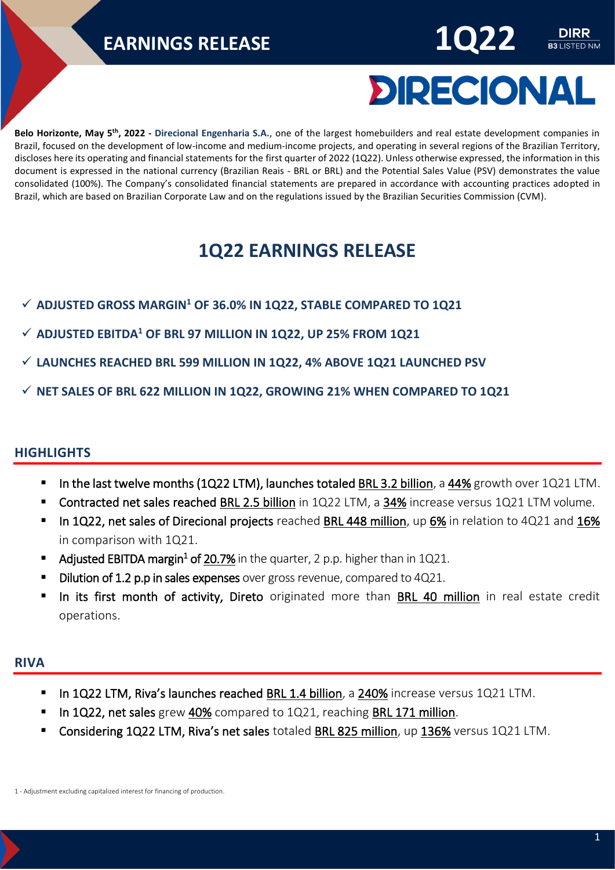

**B3** LISTED NM

**Belo Horizonte, May 5 th, 2022 - Direcional Engenharia S.A.**, one of the largest homebuilders and real estate development companies in Brazil, focused on the development of low-income and medium-income projects, and operating in several regions of the Brazilian Territory, discloses here its operating and financial statements for the first quarter of 2022 (1Q22). Unless otherwise expressed, the information in this document is expressed in the national currency (Brazilian Reais - BRL or BRL) and the Potential Sales Value (PSV) demonstrates the value consolidated (100%). The Company's consolidated financial statements are prepared in accordance with accounting practices adopted in Brazil, which are based on Brazilian Corporate Law and on the regulations issued by the Brazilian Securities Commission (CVM).

### **1Q22 EARNINGS RELEASE**

- ✓ **ADJUSTED GROSS MARGIN<sup>1</sup> OF 36.0% IN 1Q22, STABLE COMPARED TO 1Q21**
- ✓ **ADJUSTED EBITDA<sup>1</sup> OF BRL 97 MILLION IN 1Q22, UP 25% FROM 1Q21**
- ✓ **LAUNCHES REACHED BRL 599 MILLION IN 1Q22, 4% ABOVE 1Q21 LAUNCHED PSV**
- ✓ **NET SALES OF BRL 622 MILLION IN 1Q22, GROWING 21% WHEN COMPARED TO 1Q21**

#### <span id="page-0-0"></span>**HIGHLIGHTS**

- **•** In the last twelve months (1Q22 LTM), launches totaled BRL 3.2 billion, a 44% growth over 1Q21 LTM.
- Contracted net sales reached BRL 2.5 billion in 1Q22 LTM, a 34% increase versus 1Q21 LTM volume.
- In 1Q22, net sales of Direcional projects reached BRL 448 million, up 6% in relation to 4Q21 and 16% in comparison with 1Q21.
- **Adjusted EBITDA margin<sup>1</sup> of 20.7%** in the quarter, 2 p.p. higher than in 1Q21.
- Dilution of 1.2 p.p in sales expenses over gross revenue, compared to 4Q21.
- In its first month of activity, Direto originated more than BRL 40 million in real estate credit operations.

#### <span id="page-0-1"></span>**RIVA**

- In 1Q22 LTM, Riva's launches reached BRL 1.4 billion, a 240% increase versus 1Q21 LTM.
- In 1Q22, net sales grew 40% compared to 1Q21, reaching BRL 171 million.
- Considering 1Q22 LTM, Riva's net sales totaled BRL 825 million, up 136% versus 1Q21 LTM.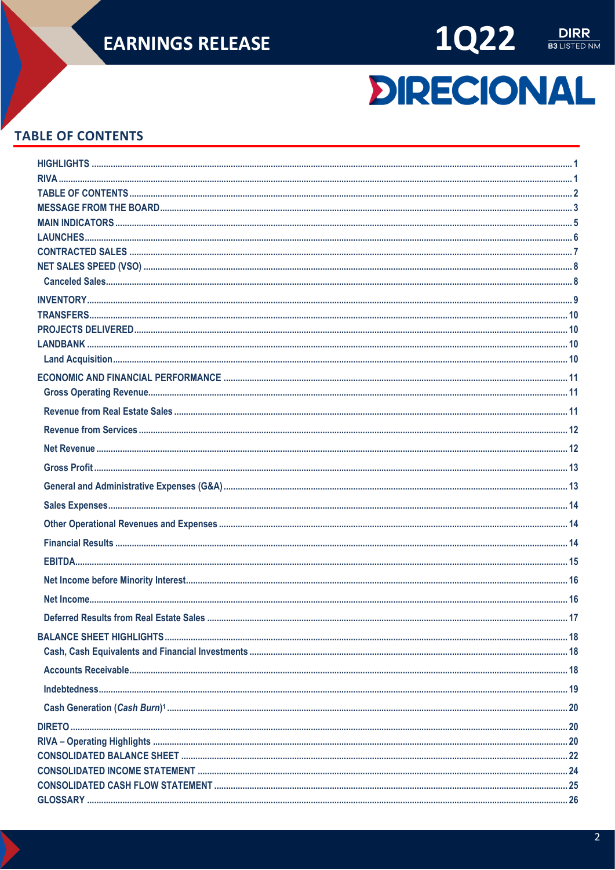



# **DIRECIONAL**

#### <span id="page-1-0"></span>**TABLE OF CONTENTS**

| Deferred Results from Real Estate Sales | 17 |
|-----------------------------------------|----|
|                                         |    |
|                                         |    |
|                                         |    |
|                                         |    |
|                                         |    |
|                                         |    |
|                                         |    |
|                                         |    |
|                                         |    |
|                                         |    |
|                                         |    |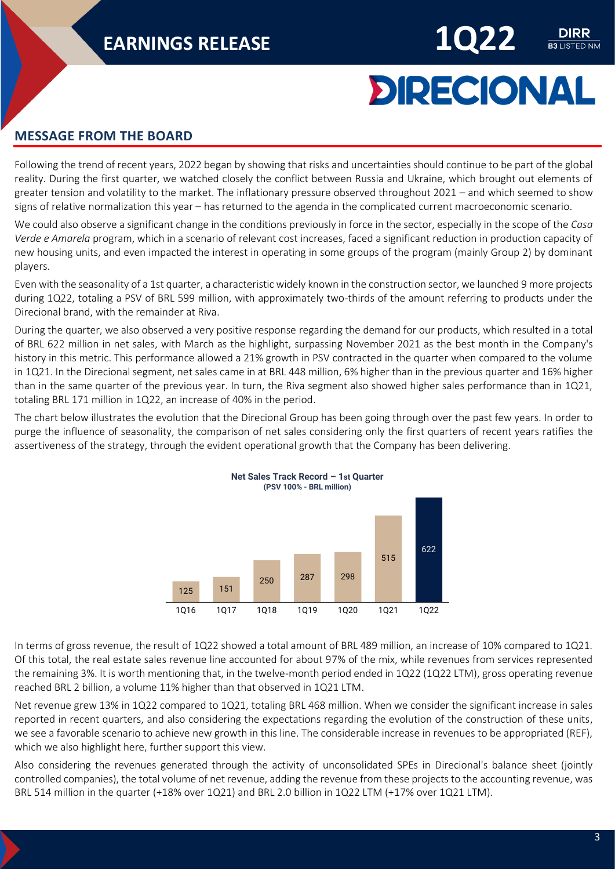

**LISTED NM** 

#### <span id="page-2-0"></span>**MESSAGE FROM THE BOARD**

Following the trend of recent years, 2022 began by showing that risks and uncertainties should continue to be part of the global reality. During the first quarter, we watched closely the conflict between Russia and Ukraine, which brought out elements of greater tension and volatility to the market. The inflationary pressure observed throughout 2021 – and which seemed to show signs of relative normalization this year – has returned to the agenda in the complicated current macroeconomic scenario.

We could also observe a significant change in the conditions previously in force in the sector, especially in the scope of the *Casa Verde e Amarela* program, which in a scenario of relevant cost increases, faced a significant reduction in production capacity of new housing units, and even impacted the interest in operating in some groups of the program (mainly Group 2) by dominant players.

Even with the seasonality of a 1st quarter, a characteristic widely known in the construction sector, we launched 9 more projects during 1Q22, totaling a PSV of BRL 599 million, with approximately two-thirds of the amount referring to products under the Direcional brand, with the remainder at Riva.

During the quarter, we also observed a very positive response regarding the demand for our products, which resulted in a total of BRL 622 million in net sales, with March as the highlight, surpassing November 2021 as the best month in the Company's history in this metric. This performance allowed a 21% growth in PSV contracted in the quarter when compared to the volume in 1Q21. In the Direcional segment, net sales came in at BRL 448 million, 6% higher than in the previous quarter and 16% higher than in the same quarter of the previous year. In turn, the Riva segment also showed higher sales performance than in 1Q21, totaling BRL 171 million in 1Q22, an increase of 40% in the period.

The chart below illustrates the evolution that the Direcional Group has been going through over the past few years. In order to purge the influence of seasonality, the comparison of net sales considering only the first quarters of recent years ratifies the assertiveness of the strategy, through the evident operational growth that the Company has been delivering.



In terms of gross revenue, the result of 1Q22 showed a total amount of BRL 489 million, an increase of 10% compared to 1Q21. Of this total, the real estate sales revenue line accounted for about 97% of the mix, while revenues from services represented the remaining 3%. It is worth mentioning that, in the twelve-month period ended in 1Q22 (1Q22 LTM), gross operating revenue reached BRL 2 billion, a volume 11% higher than that observed in 1Q21 LTM.

Net revenue grew 13% in 1Q22 compared to 1Q21, totaling BRL 468 million. When we consider the significant increase in sales reported in recent quarters, and also considering the expectations regarding the evolution of the construction of these units, we see a favorable scenario to achieve new growth in this line. The considerable increase in revenues to be appropriated (REF), which we also highlight here, further support this view.

Also considering the revenues generated through the activity of unconsolidated SPEs in Direcional's balance sheet (jointly controlled companies), the total volume of net revenue, adding the revenue from these projects to the accounting revenue, was BRL 514 million in the quarter (+18% over 1Q21) and BRL 2.0 billion in 1Q22 LTM (+17% over 1Q21 LTM).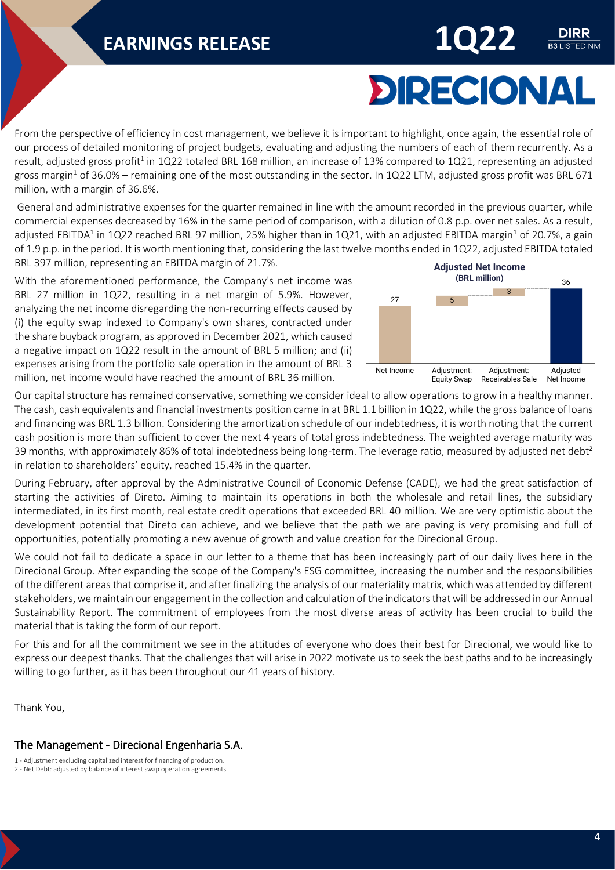# **DIRECIONAL**

**B3** LISTED NM

From the perspective of efficiency in cost management, we believe it is important to highlight, once again, the essential role of our process of detailed monitoring of project budgets, evaluating and adjusting the numbers of each of them recurrently. As a result, adjusted gross profit<sup>1</sup> in 1Q22 totaled BRL 168 million, an increase of 13% compared to 1Q21, representing an adjusted gross margin<sup>1</sup> of 36.0% – remaining one of the most outstanding in the sector. In 1Q22 LTM, adjusted gross profit was BRL 671 million, with a margin of 36.6%.

General and administrative expenses for the quarter remained in line with the amount recorded in the previous quarter, while commercial expenses decreased by 16% in the same period of comparison, with a dilution of 0.8 p.p. over net sales. As a result, adjusted EBITDA<sup>1</sup> in 1Q22 reached BRL 97 million, 25% higher than in 1Q21, with an adjusted EBITDA margin<sup>1</sup> of 20.7%, a gain of 1.9 p.p. in the period. It is worth mentioning that, considering the last twelve months ended in 1Q22, adjusted EBITDA totaled BRL 397 million, representing an EBITDA margin of 21.7%.

With the aforementioned performance, the Company's net income was BRL 27 million in 1Q22, resulting in a net margin of 5.9%. However, analyzing the net income disregarding the non-recurring effects caused by (i) the equity swap indexed to Company's own shares, contracted under the share buyback program, as approved in December 2021, which caused a negative impact on 1Q22 result in the amount of BRL 5 million; and (ii) expenses arising from the portfolio sale operation in the amount of BRL 3 million, net income would have reached the amount of BRL 36 million.



Our capital structure has remained conservative, something we consider ideal to allow operations to grow in a healthy manner. The cash, cash equivalents and financial investments position came in at BRL 1.1 billion in 1Q22, while the gross balance of loans and financing was BRL 1.3 billion. Considering the amortization schedule of our indebtedness, it is worth noting that the current cash position is more than sufficient to cover the next 4 years of total gross indebtedness. The weighted average maturity was 39 months, with approximately 86% of total indebtedness being long-term. The leverage ratio, measured by adjusted net debt<sup>2</sup> in relation to shareholders' equity, reached 15.4% in the quarter.

During February, after approval by the Administrative Council of Economic Defense (CADE), we had the great satisfaction of starting the activities of Direto. Aiming to maintain its operations in both the wholesale and retail lines, the subsidiary intermediated, in its first month, real estate credit operations that exceeded BRL 40 million. We are very optimistic about the development potential that Direto can achieve, and we believe that the path we are paving is very promising and full of opportunities, potentially promoting a new avenue of growth and value creation for the Direcional Group.

We could not fail to dedicate a space in our letter to a theme that has been increasingly part of our daily lives here in the Direcional Group. After expanding the scope of the Company's ESG committee, increasing the number and the responsibilities of the different areas that comprise it, and after finalizing the analysis of our materiality matrix, which was attended by different stakeholders, we maintain our engagement in the collection and calculation of the indicators that will be addressed in our Annual Sustainability Report. The commitment of employees from the most diverse areas of activity has been crucial to build the material that is taking the form of our report.

For this and for all the commitment we see in the attitudes of everyone who does their best for Direcional, we would like to express our deepest thanks. That the challenges that will arise in 2022 motivate us to seek the best paths and to be increasingly willing to go further, as it has been throughout our 41 years of history.

Thank You,

#### The Management - Direcional Engenharia S.A.

<sup>1 -</sup> Adjustment excluding capitalized interest for financing of production.

<sup>2 -</sup> Net Debt: adjusted by balance of interest swap operation agreements.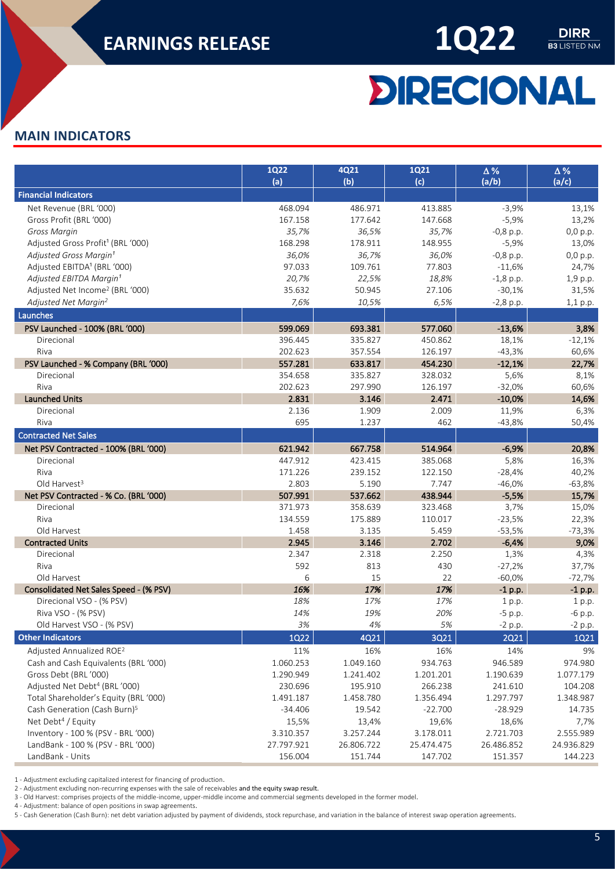

 $\frac{\text{DIRR}}{\text{B3 LISTED NM}}$ 

# **DIRECIONAL**

#### <span id="page-4-0"></span>**MAIN INDICATORS**

|                                               | <b>1Q22</b><br>(a) | 4Q21<br>(b) | <b>1Q21</b><br>(c) | $\Delta\,\%$<br>(a/b) | $\Delta$ %<br>(a/c) |
|-----------------------------------------------|--------------------|-------------|--------------------|-----------------------|---------------------|
| <b>Financial Indicators</b>                   |                    |             |                    |                       |                     |
| Net Revenue (BRL '000)                        | 468.094            | 486.971     | 413.885            | $-3,9%$               | 13,1%               |
| Gross Profit (BRL '000)                       | 167.158            | 177.642     | 147.668            | $-5,9%$               | 13,2%               |
| Gross Margin                                  | 35,7%              | 36,5%       | 35,7%              | $-0,8$ p.p.           | 0,0 p.p.            |
| Adjusted Gross Profit <sup>1</sup> (BRL '000) | 168.298            | 178.911     | 148.955            | $-5,9%$               | 13,0%               |
| Adjusted Gross Margin <sup>1</sup>            | 36,0%              | 36,7%       | 36,0%              | $-0,8$ p.p.           | 0,0 p.p.            |
| Adjusted EBITDA <sup>1</sup> (BRL '000)       | 97.033             | 109.761     | 77.803             | $-11,6%$              | 24,7%               |
| Adjusted EBITDA Margin <sup>1</sup>           | 20,7%              | 22,5%       | 18,8%              | $-1,8$ p.p.           | 1,9 p.p.            |
| Adjusted Net Income <sup>2</sup> (BRL '000)   | 35.632             | 50.945      | 27.106             | $-30,1%$              | 31,5%               |
| Adjusted Net Margin <sup>2</sup>              | 7,6%               | 10,5%       | 6,5%               | $-2,8$ p.p.           | 1,1 p.p.            |
| Launches                                      |                    |             |                    |                       |                     |
| PSV Launched - 100% (BRL '000)                | 599.069            | 693.381     | 577.060            | $-13,6%$              | 3,8%                |
| Direcional                                    | 396.445            | 335.827     | 450.862            | 18,1%                 | $-12,1%$            |
| Riva                                          | 202.623            | 357.554     | 126.197            | $-43,3%$              | 60,6%               |
| PSV Launched - % Company (BRL '000)           | 557.281            | 633.817     | 454.230            | $-12,1%$              | 22,7%               |
| Direcional                                    | 354.658            | 335.827     | 328.032            | 5,6%                  | 8,1%                |
| Riva                                          | 202.623            | 297.990     | 126.197            | $-32,0%$              | 60,6%               |
| <b>Launched Units</b>                         | 2.831              | 3.146       | 2.471              | $-10,0%$              | 14,6%               |
| Direcional                                    | 2.136              | 1.909       | 2.009              | 11,9%                 | 6,3%                |
| Riva                                          | 695                | 1.237       | 462                | $-43,8%$              | 50,4%               |
| <b>Contracted Net Sales</b>                   |                    |             |                    |                       |                     |
| Net PSV Contracted - 100% (BRL '000)          | 621.942            | 667.758     | 514.964            | $-6,9%$               | 20,8%               |
| Direcional                                    | 447.912            | 423.415     | 385.068            | 5,8%                  | 16,3%               |
| Riva                                          | 171.226            | 239.152     | 122.150            | $-28,4%$              | 40,2%               |
| Old Harvest <sup>3</sup>                      | 2.803              | 5.190       | 7.747              | $-46,0%$              | $-63,8%$            |
| Net PSV Contracted - % Co. (BRL '000)         | 507.991            | 537.662     | 438.944            | $-5,5%$               | 15,7%               |
| Direcional                                    | 371.973            | 358.639     | 323.468            | 3,7%                  | 15,0%               |
| Riva                                          | 134.559            | 175.889     | 110.017            | $-23,5%$              | 22,3%               |
| Old Harvest                                   | 1.458              | 3.135       | 5.459              | $-53,5%$              | $-73,3%$            |
| <b>Contracted Units</b>                       | 2.945              | 3.146       | 2.702              | $-6,4%$               | 9,0%                |
| Direcional                                    | 2.347              | 2.318       | 2.250              | 1,3%                  | 4,3%                |
| Riva                                          | 592                | 813         | 430                | $-27,2%$              | 37,7%               |
| Old Harvest                                   | 6                  | 15          | 22                 | $-60,0%$              | $-72,7%$            |
| Consolidated Net Sales Speed - (% PSV)        | 16%                | 17%         | 17%                | $-1$ p.p.             | $-1$ p.p.           |
| Direcional VSO - (% PSV)                      | 18%                | 17%         | 17%                | 1 p.p.                | 1 p.p.              |
| Riva VSO - (% PSV)                            | 14%                | 19%         | 20%                | $-5$ p.p.             | $-6$ p.p.           |
| Old Harvest VSO - (% PSV)                     | $3\%$              | 4%          | 5%                 | $-2$ p.p.             | $-2$ p.p.           |
| <b>Other Indicators</b>                       | <b>1Q22</b>        | 4Q21        | 3Q21               | <b>2Q21</b>           | <b>1Q21</b>         |
| Adjusted Annualized ROE <sup>2</sup>          | 11%                | 16%         | 16%                | 14%                   | 9%                  |
| Cash and Cash Equivalents (BRL '000)          | 1.060.253          | 1.049.160   | 934.763            | 946.589               | 974.980             |
| Gross Debt (BRL'000)                          | 1.290.949          | 1.241.402   | 1.201.201          | 1.190.639             | 1.077.179           |
| Adjusted Net Debt <sup>4</sup> (BRL '000)     | 230.696            | 195.910     | 266.238            | 241.610               | 104.208             |
| Total Shareholder's Equity (BRL '000)         | 1.491.187          | 1.458.780   | 1.356.494          | 1.297.797             | 1.348.987           |
| Cash Generation (Cash Burn) <sup>5</sup>      | $-34.406$          | 19.542      | $-22.700$          | $-28.929$             | 14.735              |
| Net Debt <sup>4</sup> / Equity                | 15,5%              | 13,4%       | 19,6%              | 18,6%                 | 7,7%                |
| Inventory - 100 % (PSV - BRL '000)            | 3.310.357          | 3.257.244   | 3.178.011          | 2.721.703             | 2.555.989           |
| LandBank - 100 % (PSV - BRL '000)             | 27.797.921         | 26.806.722  | 25.474.475         | 26.486.852            | 24.936.829          |
| LandBank - Units                              | 156.004            | 151.744     | 147.702            | 151.357               | 144.223             |

1 - Adjustment excluding capitalized interest for financing of production.

2 - Adjustment excluding non-recurring expenses with the sale of receivables and the equity swap result.

3 - Old Harvest: comprises projects of the middle-income, upper-middle income and commercial segments developed in the former model.

4 - Adjustment: balance of open positions in swap agreements.

5 - Cash Generation (Cash Burn): net debt variation adjusted by payment of dividends, stock repurchase, and variation in the balance of interest swap operation agreements.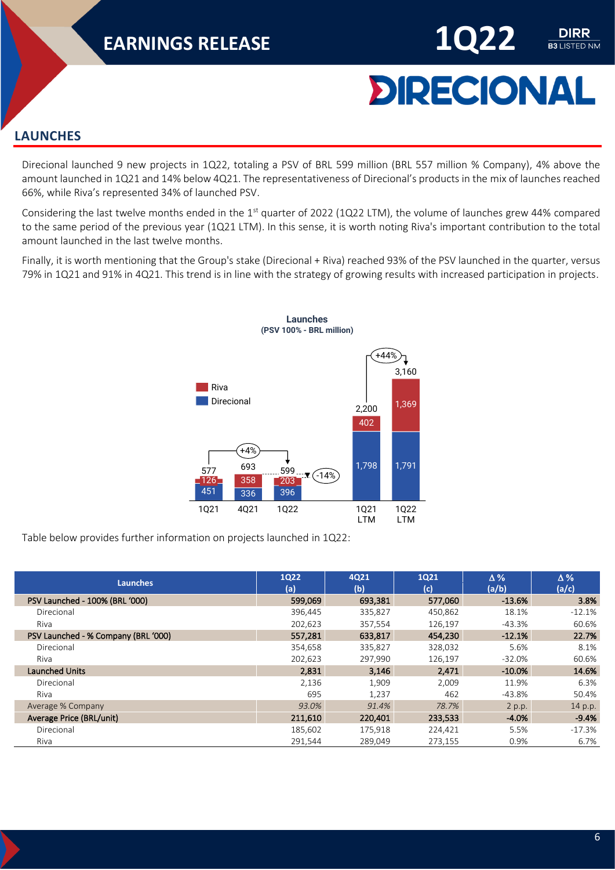

DIRR **B3 LISTED NM** 

#### <span id="page-5-0"></span>**LAUNCHES**

Direcional launched 9 new projects in 1Q22, totaling a PSV of BRL 599 million (BRL 557 million % Company), 4% above the amount launched in 1Q21 and 14% below 4Q21. The representativeness of Direcional's products in the mix of launches reached 66%, while Riva's represented 34% of launched PSV.

Considering the last twelve months ended in the 1<sup>st</sup> quarter of 2022 (1Q22 LTM), the volume of launches grew 44% compared to the same period of the previous year (1Q21 LTM). In this sense, it is worth noting Riva's important contribution to the total amount launched in the last twelve months.

Finally, it is worth mentioning that the Group's stake (Direcional + Riva) reached 93% of the PSV launched in the quarter, versus 79% in 1Q21 and 91% in 4Q21. This trend is in line with the strategy of growing results with increased participation in projects.



Table below provides further information on projects launched in 1Q22:

| <b>Launches</b>                     | <b>1Q22</b><br>(a) | 4Q21<br>(b) | <b>1Q21</b><br>(c) | $\Delta\%$<br>(a/b) | $\Delta\%$<br>(a/c) |
|-------------------------------------|--------------------|-------------|--------------------|---------------------|---------------------|
| PSV Launched - 100% (BRL '000)      | 599.069            | 693,381     | 577,060            | $-13.6%$            | 3.8%                |
| Direcional                          | 396,445            | 335,827     | 450,862            | 18.1%               | $-12.1%$            |
| Riva                                | 202,623            | 357,554     | 126,197            | $-43.3%$            | 60.6%               |
| PSV Launched - % Company (BRL '000) | 557,281            | 633,817     | 454,230            | $-12.1%$            | 22.7%               |
| Direcional                          | 354,658            | 335,827     | 328,032            | 5.6%                | 8.1%                |
| Riva                                | 202,623            | 297,990     | 126,197            | $-32.0%$            | 60.6%               |
| <b>Launched Units</b>               | 2,831              | 3,146       | 2,471              | $-10.0%$            | 14.6%               |
| Direcional                          | 2,136              | 1,909       | 2,009              | 11.9%               | 6.3%                |
| Riva                                | 695                | 1.237       | 462                | $-43.8%$            | 50.4%               |
| Average % Company                   | 93.0%              | 91.4%       | 78.7%              | 2 p.p.              | 14 p.p.             |
| Average Price (BRL/unit)            | 211,610            | 220,401     | 233,533            | $-4.0%$             | $-9.4%$             |
| Direcional                          | 185,602            | 175,918     | 224,421            | 5.5%                | $-17.3%$            |
| Riva                                | 291.544            | 289.049     | 273.155            | 0.9%                | 6.7%                |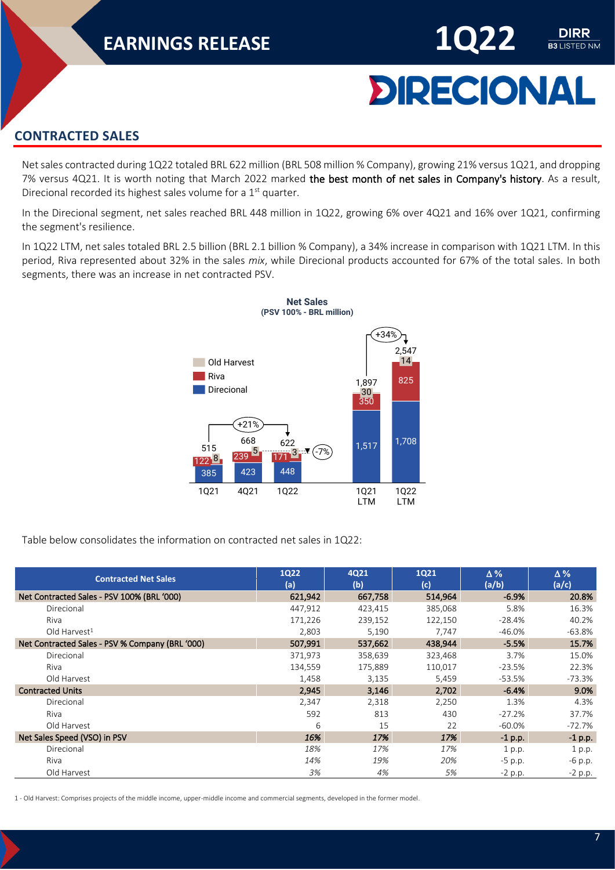

DIRR **B3 LISTED NM** 

#### <span id="page-6-0"></span>**CONTRACTED SALES**

Net sales contracted during 1Q22 totaled BRL 622 million (BRL 508 million % Company), growing 21% versus 1Q21, and dropping 7% versus 4Q21. It is worth noting that March 2022 marked the best month of net sales in Company's history. As a result, Direcional recorded its highest sales volume for a 1<sup>st</sup> quarter.

In the Direcional segment, net sales reached BRL 448 million in 1Q22, growing 6% over 4Q21 and 16% over 1Q21, confirming the segment's resilience.

In 1Q22 LTM, net sales totaled BRL 2.5 billion (BRL 2.1 billion % Company), a 34% increase in comparison with 1Q21 LTM. In this period, Riva represented about 32% in the sales *mix*, while Direcional products accounted for 67% of the total sales. In both segments, there was an increase in net contracted PSV.



Table below consolidates the information on contracted net sales in 1Q22:

| <b>Contracted Net Sales</b>                     | <b>1Q22</b><br>(a) | 4Q21<br>(b) | <b>1Q21</b><br>(c) | $\Delta\%$<br>(a/b) | $\Delta\%$<br>(a/c) |
|-------------------------------------------------|--------------------|-------------|--------------------|---------------------|---------------------|
| Net Contracted Sales - PSV 100% (BRL '000)      | 621,942            | 667,758     | 514,964            | $-6.9%$             | 20.8%               |
| Direcional                                      | 447,912            | 423,415     | 385,068            | 5.8%                | 16.3%               |
| Riva                                            | 171,226            | 239,152     | 122,150            | $-28.4%$            | 40.2%               |
| Old Harvest <sup>1</sup>                        | 2,803              | 5,190       | 7,747              | $-46.0%$            | $-63.8%$            |
| Net Contracted Sales - PSV % Company (BRL '000) | 507,991            | 537,662     | 438,944            | $-5.5%$             | 15.7%               |
| Direcional                                      | 371,973            | 358,639     | 323,468            | 3.7%                | 15.0%               |
| Riva                                            | 134,559            | 175,889     | 110,017            | $-23.5%$            | 22.3%               |
| Old Harvest                                     | 1,458              | 3,135       | 5,459              | -53.5%              | $-73.3%$            |
| <b>Contracted Units</b>                         | 2,945              | 3,146       | 2,702              | $-6.4%$             | 9.0%                |
| Direcional                                      | 2,347              | 2,318       | 2,250              | 1.3%                | 4.3%                |
| Riva                                            | 592                | 813         | 430                | $-27.2%$            | 37.7%               |
| Old Harvest                                     | 6                  | 15          | 22                 | $-60.0\%$           | -72.7%              |
| Net Sales Speed (VSO) in PSV                    | 16%                | 17%         | 17%                | $-1$ p.p.           | $-1$ p.p.           |
| Direcional                                      | 18%                | 17%         | 17%                | 1 p.p.              | 1 p.p.              |
| Riva                                            | 14%                | 19%         | 20%                | $-5$ p.p.           | $-6$ p.p.           |
| Old Harvest                                     | 3%                 | 4%          | 5%                 | $-2$ p.p.           | $-2$ p.p.           |

1 - Old Harvest: Comprises projects of the middle income, upper-middle income and commercial segments, developed in the former model.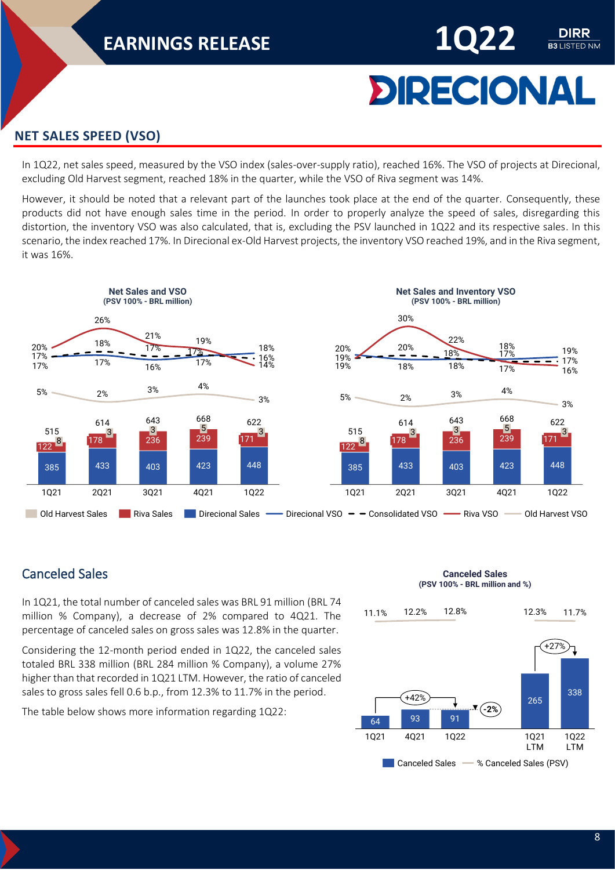# **DIRECIONAL**

DIRR **B3 LISTED NM** 

#### <span id="page-7-0"></span>**NET SALES SPEED (VSO)**

In 1Q22, net sales speed, measured by the VSO index (sales-over-supply ratio), reached 16%. The VSO of projects at Direcional, excluding Old Harvest segment, reached 18% in the quarter, while the VSO of Riva segment was 14%.

However, it should be noted that a relevant part of the launches took place at the end of the quarter. Consequently, these products did not have enough sales time in the period. In order to properly analyze the speed of sales, disregarding this distortion, the inventory VSO was also calculated, that is, excluding the PSV launched in 1Q22 and its respective sales. In this scenario, the index reached 17%. In Direcional ex-Old Harvest projects, the inventory VSO reached 19%, and in the Riva segment, it was 16%.



#### <span id="page-7-1"></span>Canceled Sales

In 1Q21, the total number of canceled sales was BRL 91 million (BRL 74 million % Company), a decrease of 2% compared to 4Q21. The percentage of canceled sales on gross sales was 12.8% in the quarter.

Considering the 12-month period ended in 1Q22, the canceled sales totaled BRL 338 million (BRL 284 million % Company), a volume 27% higher than that recorded in 1Q21 LTM. However, the ratio of canceled sales to gross sales fell 0.6 b.p., from 12.3% to 11.7% in the period.

The table below shows more information regarding 1Q22:

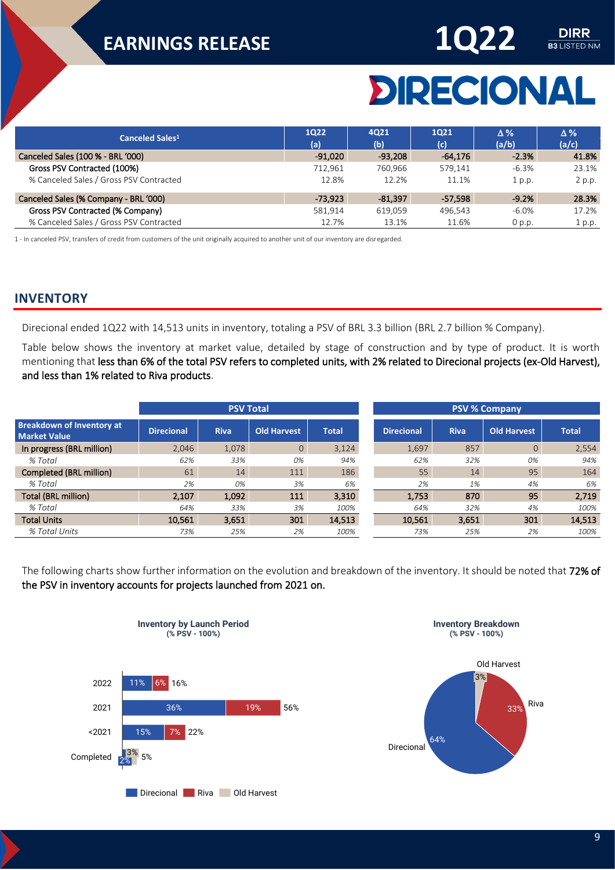

# **DIRECIONAL**

| Canceled Sales <sup>1</sup>             | 1022<br>(a) | 4021<br>(b) | 1021<br>(c) | $\Delta\%$<br>(a/b) | $\Delta\%$<br>(a/c) |
|-----------------------------------------|-------------|-------------|-------------|---------------------|---------------------|
| Canceled Sales (100 % - BRL '000)       | $-91,020$   | $-93,208$   | $-64,176$   | $-2.3%$             | 41.8%               |
| Gross PSV Contracted (100%)             | 712.961     | 760.966     | 579.141     | $-6.3%$             | 23.1%               |
| % Canceled Sales / Gross PSV Contracted | 12.8%       | 12.2%       | 11.1%       | 1 p.p.              | 2 p.p.              |
| Canceled Sales (% Company - BRL '000)   | $-73.923$   | $-81.397$   | $-57.598$   | $-9.2%$             | 28.3%               |
| Gross PSV Contracted (% Company)        | 581.914     | 619,059     | 496,543     | $-6.0\%$            | 17.2%               |
| % Canceled Sales / Gross PSV Contracted | 12.7%       | 13.1%       | 11.6%       | $0$ p.p.            | 1 p.p.              |

1 - In canceled PSV, transfers of credit from customers of the unit originally acquired to another unit of our inventory are disregarded.

#### <span id="page-8-0"></span>**INVENTORY**

Direcional ended 1Q22 with 14,513 units in inventory, totaling a PSV of BRL 3.3 billion (BRL 2.7 billion % Company).

Table below shows the inventory at market value, detailed by stage of construction and by type of product. It is worth mentioning that less than 6% of the total PSV refers to completed units, with 2% related to Direcional projects (ex-Old Harvest), and less than 1% related to Riva products.

|                                                         |                   | <b>PSV Total</b> |                |              |                   |             |                    |              |
|---------------------------------------------------------|-------------------|------------------|----------------|--------------|-------------------|-------------|--------------------|--------------|
| <b>Breakdown of Inventory at</b><br><b>Market Value</b> | <b>Direcional</b> | <b>Riva</b>      | Old Harvest    | <b>Total</b> | <b>Direcional</b> | <b>Riva</b> | <b>Old Harvest</b> | <b>Total</b> |
| In progress (BRL million)                               | 2.046             | 1,078            | $\overline{0}$ | 3,124        | 1,697             | 857         | $\overline{0}$     | 2,554        |
| % Total                                                 | 62%               | 33%              | 0%             | 94%          | 62%               | 32%         | 0%                 | 94%          |
| Completed (BRL million)                                 | 61                | 14               | 111            | 186          | 55                | 14          | 95                 | 164          |
| % Total                                                 | 2%                | 0%               | 3%             | 6%           | 2%                | 1%          | 4%                 | 6%           |
| <b>Total (BRL million)</b>                              | 2.107             | 1.092            | 111            | 3.310        | 1.753             | 870         | 95                 | 2.719        |
| % Total                                                 | 64%               | 33%              | 3%             | 100%         | 64%               | 32%         | 4%                 | 100%         |
| <b>Total Units</b>                                      | 10,561            | 3,651            | 301            | 14,513       | 10,561            | 3,651       | 301                | 14,513       |
| % Total Units                                           | 73%               | 25%              | 2%             | 100%         | 73%               | 25%         | 2%                 | 100%         |

The following charts show further information on the evolution and breakdown of the inventory. It should be noted that 72% of the PSV in inventory accounts for projects launched from 2021 on.



**Inventory by Launch Period**

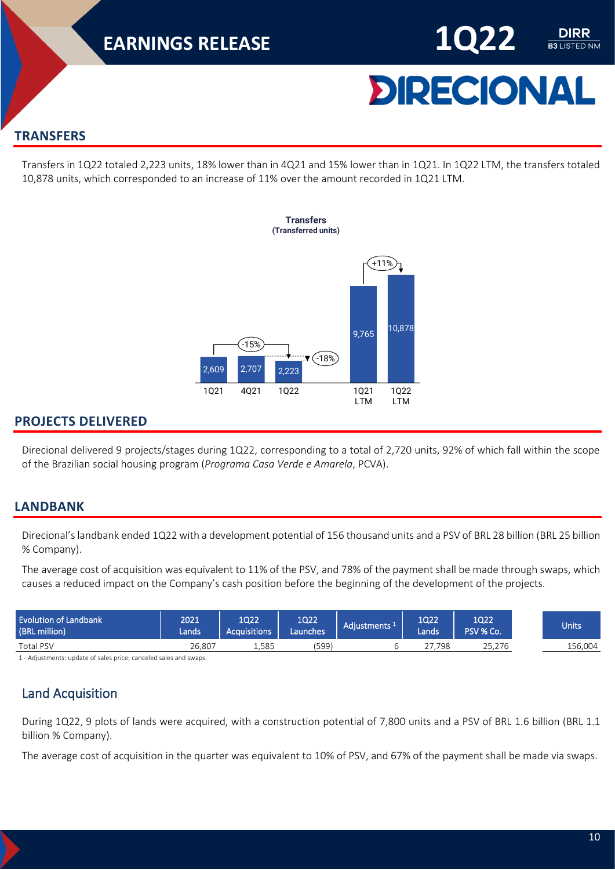

**B3** LISTED NM

#### <span id="page-9-0"></span>**TRANSFERS**

Transfers in 1Q22 totaled 2,223 units, 18% lower than in 4Q21 and 15% lower than in 1Q21. In 1Q22 LTM, the transfers totaled 10,878 units, which corresponded to an increase of 11% over the amount recorded in 1Q21 LTM.



#### <span id="page-9-1"></span>**PROJECTS DELIVERED**

Direcional delivered 9 projects/stages during 1Q22, corresponding to a total of 2,720 units, 92% of which fall within the scope of the Brazilian social housing program (*Programa Casa Verde e Amarela*, PCVA).

#### <span id="page-9-2"></span>**LANDBANK**

Direcional's landbank ended 1Q22 with a development potential of 156 thousand units and a PSV of BRL 28 billion (BRL 25 billion % Company).

The average cost of acquisition was equivalent to 11% of the PSV, and 78% of the payment shall be made through swaps, which causes a reduced impact on the Company's cash position before the beginning of the development of the projects.

| <b>Evolution of Landbank</b><br>(BRL million) | 2021<br>Lands | 1Q22<br><b>Acquisitions</b> | 1Q22<br>Launches | Adjustments <sup>1</sup> | 1022<br>Lands | 1Q22<br>PSV % Co. | Units'  |
|-----------------------------------------------|---------------|-----------------------------|------------------|--------------------------|---------------|-------------------|---------|
| <b>Total PSV</b>                              | 26.807        | 1.585                       | (599)            |                          | .798          | 25.276            | 156.004 |
|                                               |               |                             |                  |                          |               |                   |         |

1 - Adjustments: update of sales price; canceled sales and swaps.

#### <span id="page-9-3"></span>Land Acquisition

During 1Q22, 9 plots of lands were acquired, with a construction potential of 7,800 units and a PSV of BRL 1.6 billion (BRL 1.1 billion % Company).

The average cost of acquisition in the quarter was equivalent to 10% of PSV, and 67% of the payment shall be made via swaps.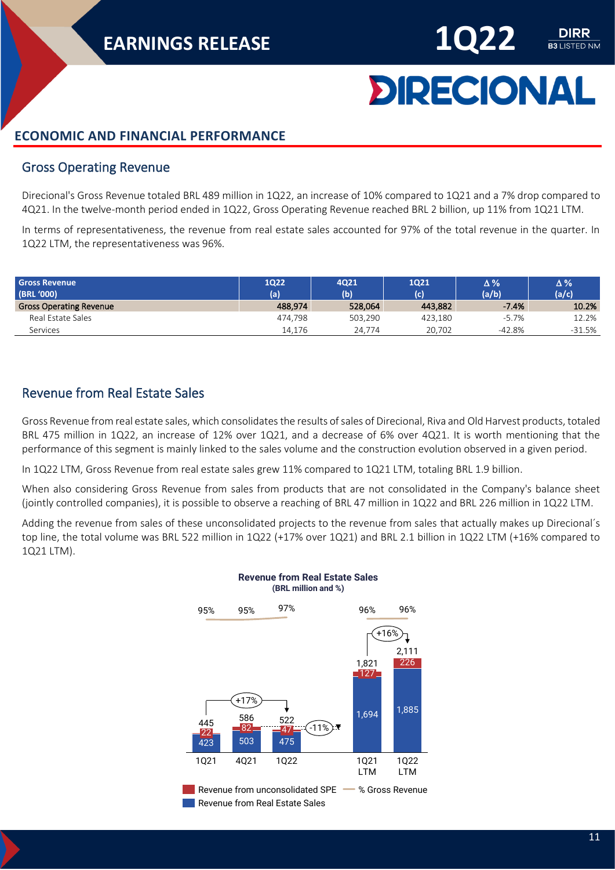

DIRR **B3** LISTED NM

#### <span id="page-10-0"></span>**ECONOMIC AND FINANCIAL PERFORMANCE**

#### <span id="page-10-1"></span>Gross Operating Revenue

Direcional's Gross Revenue totaled BRL 489 million in 1Q22, an increase of 10% compared to 1Q21 and a 7% drop compared to 4Q21. In the twelve-month period ended in 1Q22, Gross Operating Revenue reached BRL 2 billion, up 11% from 1Q21 LTM.

In terms of representativeness, the revenue from real estate sales accounted for 97% of the total revenue in the quarter. In 1Q22 LTM, the representativeness was 96%.

| <b>Gross Revenue</b><br>(BRL '000) | 1Q22<br>(a) | <b>4Q21</b><br>(b) | 1Q21<br>(c) | Δ%<br>(a/b) | Δ%<br>(a/c) |
|------------------------------------|-------------|--------------------|-------------|-------------|-------------|
| <b>Gross Operating Revenue</b>     | 488,974     | 528,064            | 443,882     | $-7.4%$     | 10.2%       |
| Real Estate Sales                  | 474.798     | 503.290            | 423.180     | $-5.7%$     | 12.2%       |
| Services                           | 14,176      | 24.774             | 20.702      | -42.8%      | $-31.5%$    |

#### <span id="page-10-2"></span>Revenue from Real Estate Sales

Gross Revenue from real estate sales, which consolidates the results of sales of Direcional, Riva and Old Harvest products, totaled BRL 475 million in 1Q22, an increase of 12% over 1Q21, and a decrease of 6% over 4Q21. It is worth mentioning that the performance of this segment is mainly linked to the sales volume and the construction evolution observed in a given period.

In 1Q22 LTM, Gross Revenue from real estate sales grew 11% compared to 1Q21 LTM, totaling BRL 1.9 billion.

When also considering Gross Revenue from sales from products that are not consolidated in the Company's balance sheet (jointly controlled companies), it is possible to observe a reaching of BRL 47 million in 1Q22 and BRL 226 million in 1Q22 LTM.

Adding the revenue from sales of these unconsolidated projects to the revenue from sales that actually makes up Direcional´s top line, the total volume was BRL 522 million in 1Q22 (+17% over 1Q21) and BRL 2.1 billion in 1Q22 LTM (+16% compared to 1Q21 LTM).

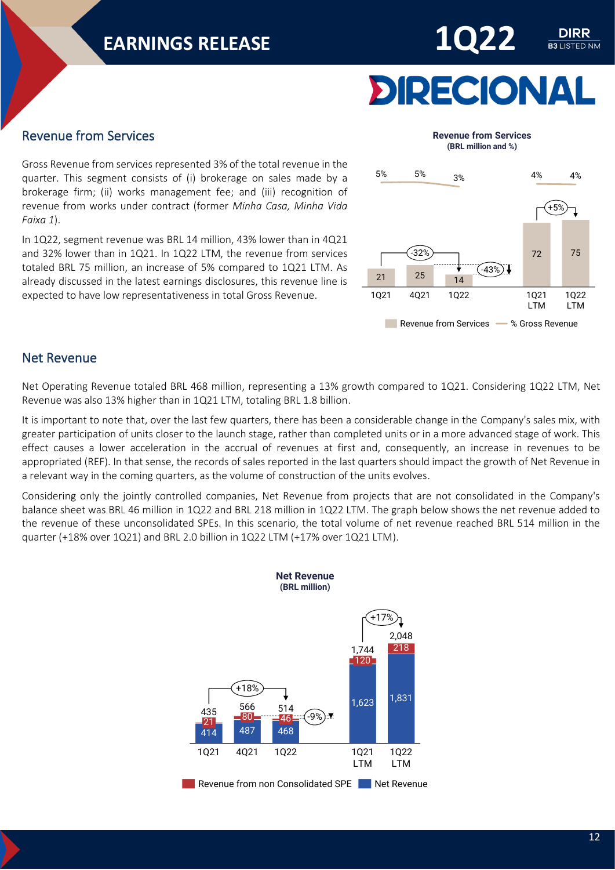

DIRR **B3 LISTED NM** 

#### <span id="page-11-0"></span>Revenue from Services

Gross Revenue from services represented 3% of the total revenue in the quarter. This segment consists of (i) brokerage on sales made by a brokerage firm; (ii) works management fee; and (iii) recognition of revenue from works under contract (former *Minha Casa, Minha Vida Faixa 1*).

In 1Q22, segment revenue was BRL 14 million, 43% lower than in 4Q21 and 32% lower than in 1Q21. In 1Q22 LTM, the revenue from services totaled BRL 75 million, an increase of 5% compared to 1Q21 LTM. As already discussed in the latest earnings disclosures, this revenue line is expected to have low representativeness in total Gross Revenue.



#### <span id="page-11-1"></span>Net Revenue

Net Operating Revenue totaled BRL 468 million, representing a 13% growth compared to 1Q21. Considering 1Q22 LTM, Net Revenue was also 13% higher than in 1Q21 LTM, totaling BRL 1.8 billion.

It is important to note that, over the last few quarters, there has been a considerable change in the Company's sales mix, with greater participation of units closer to the launch stage, rather than completed units or in a more advanced stage of work. This effect causes a lower acceleration in the accrual of revenues at first and, consequently, an increase in revenues to be appropriated (REF). In that sense, the records of sales reported in the last quarters should impact the growth of Net Revenue in a relevant way in the coming quarters, as the volume of construction of the units evolves.

Considering only the jointly controlled companies, Net Revenue from projects that are not consolidated in the Company's balance sheet was BRL 46 million in 1Q22 and BRL 218 million in 1Q22 LTM. The graph below shows the net revenue added to the revenue of these unconsolidated SPEs. In this scenario, the total volume of net revenue reached BRL 514 million in the quarter (+18% over 1Q21) and BRL 2.0 billion in 1Q22 LTM (+17% over 1Q21 LTM).



Revenue from non Consolidated SPE Net Revenue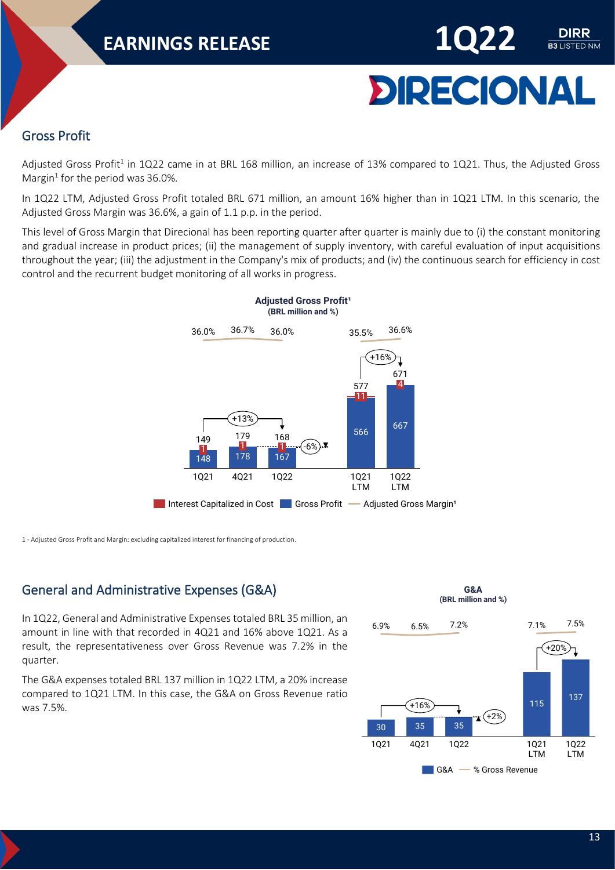

**B3 LISTED NM** 

#### <span id="page-12-0"></span>Gross Profit

Adjusted Gross Profit<sup>1</sup> in 1Q22 came in at BRL 168 million, an increase of 13% compared to 1Q21. Thus, the Adjusted Gross Margin<sup>1</sup> for the period was 36.0%.

In 1Q22 LTM, Adjusted Gross Profit totaled BRL 671 million, an amount 16% higher than in 1Q21 LTM. In this scenario, the Adjusted Gross Margin was 36.6%, a gain of 1.1 p.p. in the period.

This level of Gross Margin that Direcional has been reporting quarter after quarter is mainly due to (i) the constant monitoring and gradual increase in product prices; (ii) the management of supply inventory, with careful evaluation of input acquisitions throughout the year; (iii) the adjustment in the Company's mix of products; and (iv) the continuous search for efficiency in cost control and the recurrent budget monitoring of all works in progress.



1 - Adjusted Gross Profit and Margin: excluding capitalized interest for financing of production.

#### <span id="page-12-1"></span>General and Administrative Expenses (G&A)

In 1Q22, General and Administrative Expenses totaled BRL 35 million, an amount in line with that recorded in 4Q21 and 16% above 1Q21. As a result, the representativeness over Gross Revenue was 7.2% in the quarter.

The G&A expenses totaled BRL 137 million in 1Q22 LTM, a 20% increase compared to 1Q21 LTM. In this case, the G&A on Gross Revenue ratio was 7.5%.

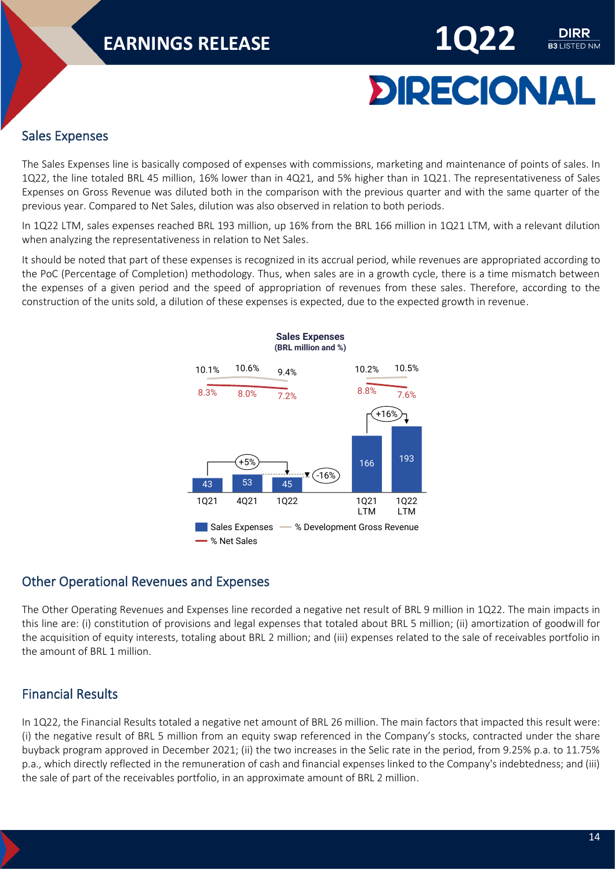

DIRR **B3 LISTED NM** 

#### <span id="page-13-0"></span>Sales Expenses

The Sales Expenses line is basically composed of expenses with commissions, marketing and maintenance of points of sales. In 1Q22, the line totaled BRL 45 million, 16% lower than in 4Q21, and 5% higher than in 1Q21. The representativeness of Sales Expenses on Gross Revenue was diluted both in the comparison with the previous quarter and with the same quarter of the previous year. Compared to Net Sales, dilution was also observed in relation to both periods.

In 1Q22 LTM, sales expenses reached BRL 193 million, up 16% from the BRL 166 million in 1Q21 LTM, with a relevant dilution when analyzing the representativeness in relation to Net Sales.

It should be noted that part of these expenses is recognized in its accrual period, while revenues are appropriated according to the PoC (Percentage of Completion) methodology. Thus, when sales are in a growth cycle, there is a time mismatch between the expenses of a given period and the speed of appropriation of revenues from these sales. Therefore, according to the construction of the units sold, a dilution of these expenses is expected, due to the expected growth in revenue.



#### <span id="page-13-1"></span>Other Operational Revenues and Expenses

The Other Operating Revenues and Expenses line recorded a negative net result of BRL 9 million in 1Q22. The main impacts in this line are: (i) constitution of provisions and legal expenses that totaled about BRL 5 million; (ii) amortization of goodwill for the acquisition of equity interests, totaling about BRL 2 million; and (iii) expenses related to the sale of receivables portfolio in the amount of BRL 1 million.

#### <span id="page-13-2"></span>Financial Results

In 1Q22, the Financial Results totaled a negative net amount of BRL 26 million. The main factors that impacted this result were: (i) the negative result of BRL 5 million from an equity swap referenced in the Company's stocks, contracted under the share buyback program approved in December 2021; (ii) the two increases in the Selic rate in the period, from 9.25% p.a. to 11.75% p.a., which directly reflected in the remuneration of cash and financial expenses linked to the Company's indebtedness; and (iii) the sale of part of the receivables portfolio, in an approximate amount of BRL 2 million.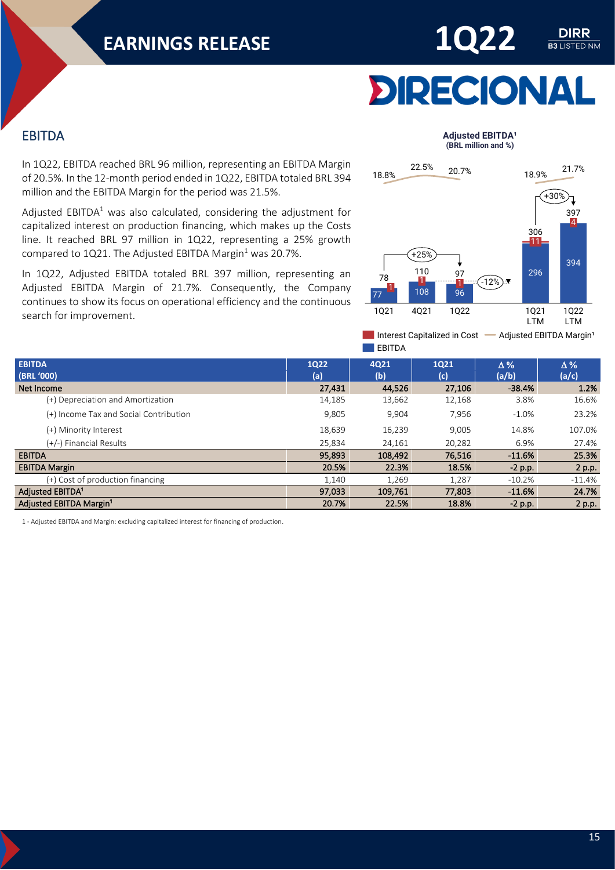

#### <span id="page-14-0"></span>EBITDA

In 1Q22, EBITDA reached BRL 96 million, representing an EBITDA Margin of 20.5%. In the 12-month period ended in 1Q22, EBITDA totaled BRL 394 million and the EBITDA Margin for the period was 21.5%.

Adjusted EBITDA $1$  was also calculated, considering the adjustment for capitalized interest on production financing, which makes up the Costs line. It reached BRL 97 million in 1Q22, representing a 25% growth compared to 1Q21. The Adjusted EBITDA Margin<sup>1</sup> was 20.7%.

In 1Q22, Adjusted EBITDA totaled BRL 397 million, representing an Adjusted EBITDA Margin of 21.7%. Consequently, the Company continues to show its focus on operational efficiency and the continuous search for improvement.

#### **Adjusted EBITDA<sup>1</sup> (BRL million and %)**



Interest Capitalized in Cost - Adjusted EBITDA Margin<sup>1</sup>  $\blacksquare$ FRITDA

| <b>EBITDA</b><br>(BRL '000)            | <b>1Q22</b><br>(a) | 4021<br>(b) | 1021<br>(c) | $\Delta\%$<br>(a/b) | $\Delta\%$<br>(a/c) |
|----------------------------------------|--------------------|-------------|-------------|---------------------|---------------------|
| Net Income                             | 27,431             | 44,526      | 27,106      | $-38.4%$            | 1.2%                |
| (+) Depreciation and Amortization      | 14,185             | 13,662      | 12,168      | 3.8%                | 16.6%               |
| (+) Income Tax and Social Contribution | 9,805              | 9,904       | 7,956       | $-1.0%$             | 23.2%               |
| (+) Minority Interest                  | 18,639             | 16,239      | 9,005       | 14.8%               | 107.0%              |
| (+/-) Financial Results                | 25,834             | 24,161      | 20,282      | 6.9%                | 27.4%               |
| <b>EBITDA</b>                          | 95,893             | 108,492     | 76,516      | $-11.6%$            | 25.3%               |
| <b>EBITDA Margin</b>                   | 20.5%              | 22.3%       | 18.5%       | $-2$ p.p.           | 2 p.p.              |
| (+) Cost of production financing       | 1,140              | 1,269       | 1,287       | $-10.2%$            | $-11.4%$            |
| Adjusted EBITDA <sup>1</sup>           | 97,033             | 109,761     | 77,803      | $-11.6%$            | 24.7%               |
| Adjusted EBITDA Margin <sup>1</sup>    | 20.7%              | 22.5%       | 18.8%       | $-2 p.p.$           | 2 p.p.              |

1 - Adjusted EBITDA and Margin: excluding capitalized interest for financing of production.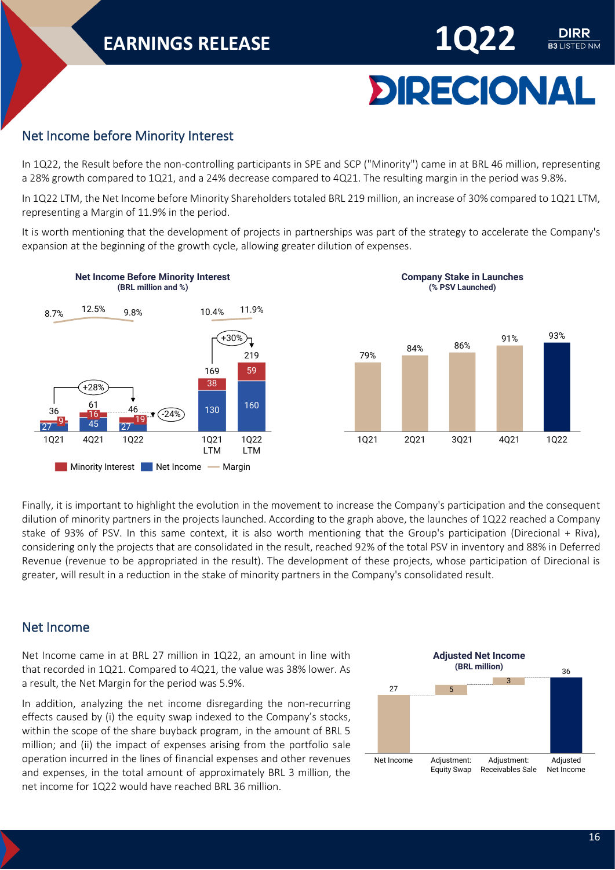# **DIRECIONAL**

DIRR **B3** LISTED NM

#### <span id="page-15-0"></span>Net Income before Minority Interest

In 1Q22, the Result before the non-controlling participants in SPE and SCP ("Minority") came in at BRL 46 million, representing a 28% growth compared to 1Q21, and a 24% decrease compared to 4Q21. The resulting margin in the period was 9.8%.

In 1Q22 LTM, the Net Income before Minority Shareholders totaled BRL 219 million, an increase of 30% compared to 1Q21 LTM, representing a Margin of 11.9% in the period.

It is worth mentioning that the development of projects in partnerships was part of the strategy to accelerate the Company's expansion at the beginning of the growth cycle, allowing greater dilution of expenses.



Finally, it is important to highlight the evolution in the movement to increase the Company's participation and the consequent dilution of minority partners in the projects launched. According to the graph above, the launches of 1Q22 reached a Company stake of 93% of PSV. In this same context, it is also worth mentioning that the Group's participation (Direcional + Riva), considering only the projects that are consolidated in the result, reached 92% of the total PSV in inventory and 88% in Deferred Revenue (revenue to be appropriated in the result). The development of these projects, whose participation of Direcional is greater, will result in a reduction in the stake of minority partners in the Company's consolidated result.

#### <span id="page-15-1"></span>Net Income

Net Income came in at BRL 27 million in 1Q22, an amount in line with that recorded in 1Q21. Compared to 4Q21, the value was 38% lower. As a result, the Net Margin for the period was 5.9%.

In addition, analyzing the net income disregarding the non-recurring effects caused by (i) the equity swap indexed to the Company's stocks, within the scope of the share buyback program, in the amount of BRL 5 million; and (ii) the impact of expenses arising from the portfolio sale operation incurred in the lines of financial expenses and other revenues and expenses, in the total amount of approximately BRL 3 million, the net income for 1Q22 would have reached BRL 36 million.

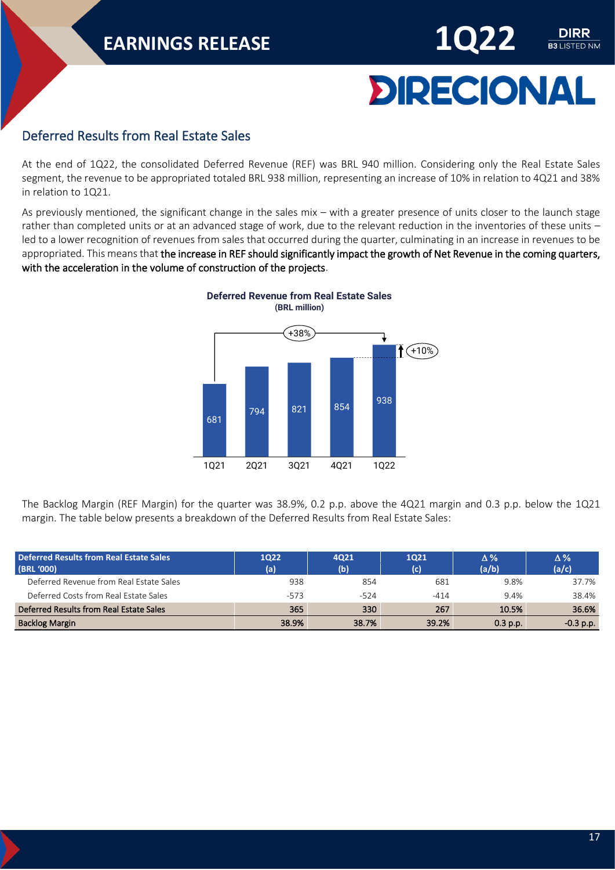

DIRR **B3 LISTED NM** 

#### <span id="page-16-0"></span>Deferred Results from Real Estate Sales

At the end of 1Q22, the consolidated Deferred Revenue (REF) was BRL 940 million. Considering only the Real Estate Sales segment, the revenue to be appropriated totaled BRL 938 million, representing an increase of 10% in relation to 4Q21 and 38% in relation to 1Q21.

As previously mentioned, the significant change in the sales mix – with a greater presence of units closer to the launch stage rather than completed units or at an advanced stage of work, due to the relevant reduction in the inventories of these units – led to a lower recognition of revenues from sales that occurred during the quarter, culminating in an increase in revenues to be appropriated. This means that the increase in REF should significantly impact the growth of Net Revenue in the coming quarters, with the acceleration in the volume of construction of the projects.



The Backlog Margin (REF Margin) for the quarter was 38.9%, 0.2 p.p. above the 4Q21 margin and 0.3 p.p. below the 1Q21 margin. The table below presents a breakdown of the Deferred Results from Real Estate Sales:

| Deferred Results from Real Estate Sales<br>(BRL '000) | 1022<br>(a) | 4021<br>(b) | 1021<br>(c) | $\Delta\%$<br>(a/b) | $\Delta\%$<br>(a/c) |
|-------------------------------------------------------|-------------|-------------|-------------|---------------------|---------------------|
| Deferred Revenue from Real Estate Sales               | 938         | 854         | 681         | 9.8%                | 37.7%               |
| Deferred Costs from Real Estate Sales                 | $-573$      | -524        | $-414$      | 9.4%                | 38.4%               |
| Deferred Results from Real Estate Sales               | 365         | 330         | 267         | 10.5%               | 36.6%               |
| <b>Backlog Margin</b>                                 | 38.9%       | 38.7%       | 39.2%       | 0.3 p.p.            | $-0.3$ p.p.         |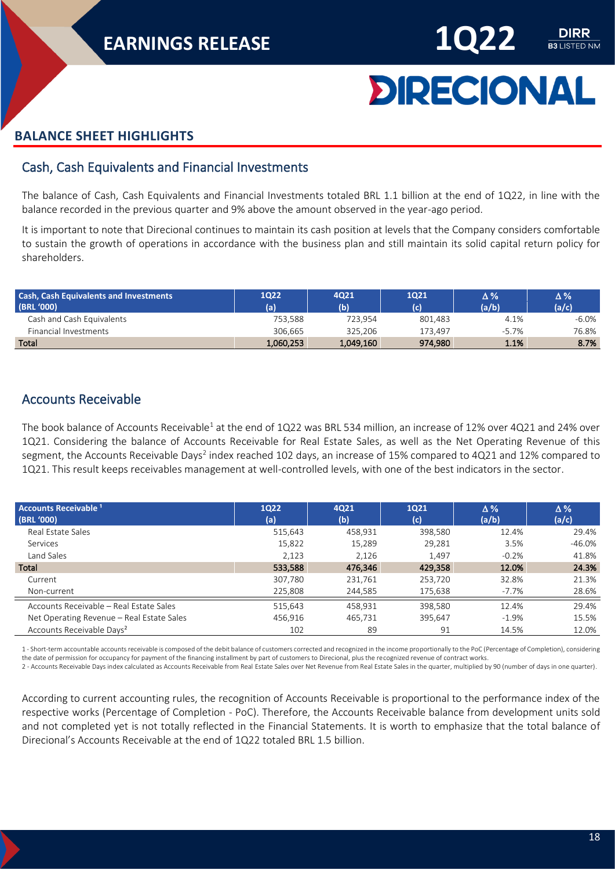

# **DIRECIONAL**

#### <span id="page-17-0"></span>**BALANCE SHEET HIGHLIGHTS**

#### <span id="page-17-1"></span>Cash, Cash Equivalents and Financial Investments

The balance of Cash, Cash Equivalents and Financial Investments totaled BRL 1.1 billion at the end of 1Q22, in line with the balance recorded in the previous quarter and 9% above the amount observed in the year-ago period.

It is important to note that Direcional continues to maintain its cash position at levels that the Company considers comfortable to sustain the growth of operations in accordance with the business plan and still maintain its solid capital return policy for shareholders.

| <b>Cash, Cash Equivalents and Investments</b><br>(BRL '000) | 1022<br>(a) | 4021<br>(b) | 1021<br>(c) | Δ%<br>(a/b) | $\Delta\%$<br>(a/c) |
|-------------------------------------------------------------|-------------|-------------|-------------|-------------|---------------------|
| Cash and Cash Equivalents                                   | 753.588     | 723.954     | 801.483     | 4.1%        | -6.0%               |
| Financial Investments                                       | 306.665     | 325.206     | 173.497     | $-5.7%$     | 76.8%               |
| Total                                                       | 1,060,253   | 1,049,160   | 974,980     | 1.1%        | 8.7%                |

#### <span id="page-17-2"></span>Accounts Receivable

The book balance of Accounts Receivable<sup>1</sup> at the end of 1Q22 was BRL 534 million, an increase of 12% over 4Q21 and 24% over 1Q21. Considering the balance of Accounts Receivable for Real Estate Sales, as well as the Net Operating Revenue of this segment, the Accounts Receivable Days<sup>2</sup> index reached 102 days, an increase of 15% compared to 4Q21 and 12% compared to 1Q21. This result keeps receivables management at well-controlled levels, with one of the best indicators in the sector.

| <b>Accounts Receivable 1</b><br>(BRL '000) | <b>1Q22</b><br>(a) | 4021<br>(b) | 1021<br>(c) | $\Delta\%$<br>(a/b) | $\Delta\%$<br>(a/c) |
|--------------------------------------------|--------------------|-------------|-------------|---------------------|---------------------|
| Real Estate Sales                          | 515,643            | 458,931     | 398,580     | 12.4%               | 29.4%               |
| Services                                   | 15,822             | 15,289      | 29,281      | 3.5%                | -46.0%              |
| Land Sales                                 | 2,123              | 2,126       | 1.497       | $-0.2%$             | 41.8%               |
| Total                                      | 533,588            | 476,346     | 429,358     | 12.0%               | 24.3%               |
| Current                                    | 307,780            | 231,761     | 253,720     | 32.8%               | 21.3%               |
| Non-current                                | 225,808            | 244,585     | 175,638     | $-7.7\%$            | 28.6%               |
| Accounts Receivable - Real Estate Sales    | 515,643            | 458,931     | 398,580     | 12.4%               | 29.4%               |
| Net Operating Revenue - Real Estate Sales  | 456,916            | 465,731     | 395,647     | $-1.9%$             | 15.5%               |
| Accounts Receivable Days <sup>2</sup>      | 102                | 89          | 91          | 14.5%               | 12.0%               |

1 - Short-term accountable accounts receivable is composed of the debit balance of customers corrected and recognized in the income proportionally to the PoC (Percentage of Completion), considering the date of permission for occupancy for payment of the financing installment by part of customers to Direcional, plus the recognized revenue of contract works.

2 - Accounts Receivable Days index calculated as Accounts Receivable from Real Estate Sales over Net Revenue from Real Estate Sales in the quarter, multiplied by 90 (number of days in one quarter).

According to current accounting rules, the recognition of Accounts Receivable is proportional to the performance index of the respective works (Percentage of Completion - PoC). Therefore, the Accounts Receivable balance from development units sold and not completed yet is not totally reflected in the Financial Statements. It is worth to emphasize that the total balance of Direcional's Accounts Receivable at the end of 1Q22 totaled BRL 1.5 billion.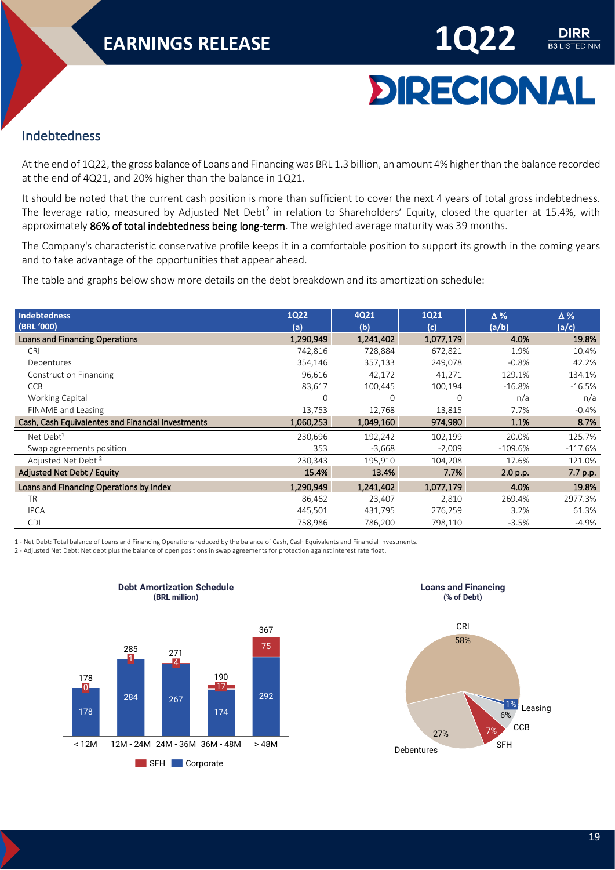

**DIRR** 

#### <span id="page-18-0"></span>Indebtedness

At the end of 1Q22, the gross balance of Loans and Financing was BRL 1.3 billion, an amount 4% higher than the balance recorded at the end of 4Q21, and 20% higher than the balance in 1Q21.

It should be noted that the current cash position is more than sufficient to cover the next 4 years of total gross indebtedness. The leverage ratio, measured by Adjusted Net Debt<sup>2</sup> in relation to Shareholders' Equity, closed the quarter at 15.4%, with approximately 86% of total indebtedness being long-term. The weighted average maturity was 39 months.

The Company's characteristic conservative profile keeps it in a comfortable position to support its growth in the coming years and to take advantage of the opportunities that appear ahead.

The table and graphs below show more details on the debt breakdown and its amortization schedule:

| <b>Indebtedness</b>                               | <b>1Q22</b> | 4Q21      | 1Q21      | $\Delta\%$ | $\Delta\%$ |
|---------------------------------------------------|-------------|-----------|-----------|------------|------------|
| (BRL '000)                                        | (a)         | (b)       | (c)       | (a/b)      | (a/c)      |
| Loans and Financing Operations                    | 1,290,949   | 1,241,402 | 1,077,179 | 4.0%       | 19.8%      |
| <b>CRI</b>                                        | 742,816     | 728,884   | 672,821   | 1.9%       | 10.4%      |
| Debentures                                        | 354,146     | 357,133   | 249,078   | $-0.8%$    | 42.2%      |
| <b>Construction Financing</b>                     | 96,616      | 42,172    | 41,271    | 129.1%     | 134.1%     |
| <b>CCB</b>                                        | 83,617      | 100,445   | 100,194   | $-16.8\%$  | $-16.5%$   |
| Working Capital                                   | $\Omega$    | 0         | $\Omega$  | n/a        | n/a        |
| FINAME and Leasing                                | 13,753      | 12,768    | 13,815    | 7.7%       | $-0.4%$    |
| Cash, Cash Equivalentes and Financial Investments | 1,060,253   | 1,049,160 | 974,980   | 1.1%       | 8.7%       |
| Net Debt <sup>1</sup>                             | 230,696     | 192,242   | 102,199   | 20.0%      | 125.7%     |
| Swap agreements position                          | 353         | $-3,668$  | $-2,009$  | $-109.6%$  | $-117.6%$  |
| Adjusted Net Debt <sup>2</sup>                    | 230,343     | 195,910   | 104,208   | 17.6%      | 121.0%     |
| Adjusted Net Debt / Equity                        | 15.4%       | 13.4%     | 7.7%      | 2.0 p.p.   | 7.7 p.p.   |
| Loans and Financing Operations by index           | 1,290,949   | 1,241,402 | 1,077,179 | 4.0%       | 19.8%      |
| <b>TR</b>                                         | 86,462      | 23,407    | 2,810     | 269.4%     | 2977.3%    |
| <b>IPCA</b>                                       | 445,501     | 431,795   | 276,259   | 3.2%       | 61.3%      |
| <b>CDI</b>                                        | 758,986     | 786,200   | 798,110   | $-3.5%$    | $-4.9%$    |

1 - Net Debt: Total balance of Loans and Financing Operations reduced by the balance of Cash, Cash Equivalents and Financial Investments.

2 - Adjusted Net Debt: Net debt plus the balance of open positions in swap agreements for protection against interest rate float.



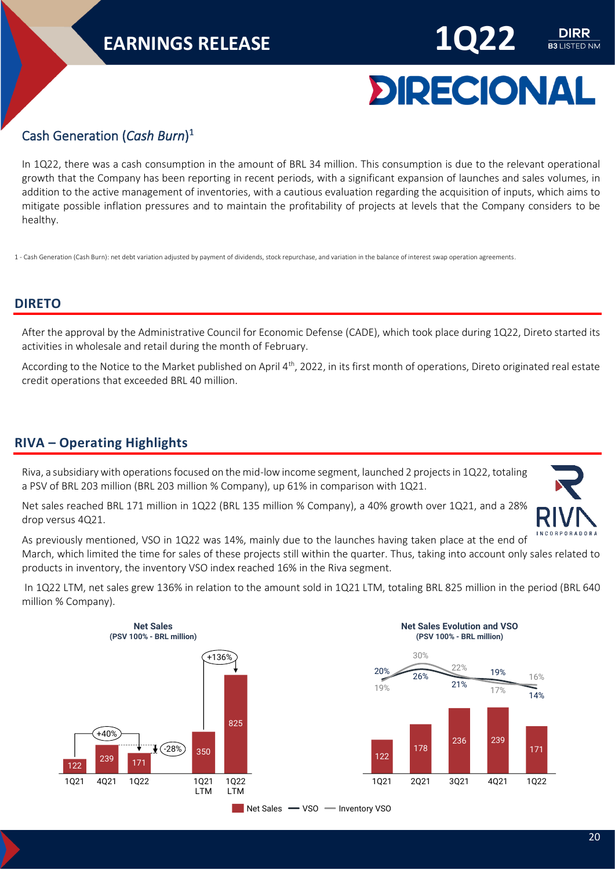

**B3** LISTED NM

#### <span id="page-19-0"></span>Cash Generation (*Cash Burn*) 1

In 1Q22, there was a cash consumption in the amount of BRL 34 million. This consumption is due to the relevant operational growth that the Company has been reporting in recent periods, with a significant expansion of launches and sales volumes, in addition to the active management of inventories, with a cautious evaluation regarding the acquisition of inputs, which aims to mitigate possible inflation pressures and to maintain the profitability of projects at levels that the Company considers to be healthy.

1 - Cash Generation (Cash Burn): net debt variation adjusted by payment of dividends, stock repurchase, and variation in the balance of interest swap operation agreements.

#### <span id="page-19-1"></span>**DIRETO**

After the approval by the Administrative Council for Economic Defense (CADE), which took place during 1Q22, Direto started its activities in wholesale and retail during the month of February.

According to the Notice to the Market published on April 4<sup>th</sup>, 2022, in its first month of operations, Direto originated real estate credit operations that exceeded BRL 40 million.

#### <span id="page-19-2"></span>**RIVA – Operating Highlights**

Riva, a subsidiary with operations focused on the mid-low income segment, launched 2 projects in 1Q22, totaling a PSV of BRL 203 million (BRL 203 million % Company), up 61% in comparison with 1Q21.

Net sales reached BRL 171 million in 1Q22 (BRL 135 million % Company), a 40% growth over 1Q21, and a 28% drop versus 4Q21.



As previously mentioned, VSO in 1Q22 was 14%, mainly due to the launches having taken place at the end of March, which limited the time for sales of these projects still within the quarter. Thus, taking into account only sales related to products in inventory, the inventory VSO index reached 16% in the Riva segment.

In 1Q22 LTM, net sales grew 136% in relation to the amount sold in 1Q21 LTM, totaling BRL 825 million in the period (BRL 640 million % Company).





Net Sales **-VSO** - Inventory VSO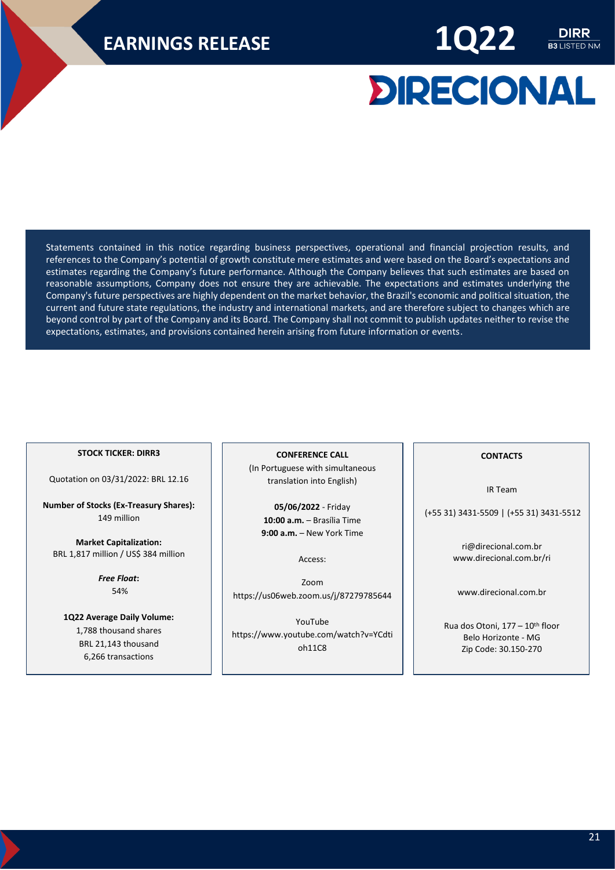

# **DIRECIONAL**

Statements contained in this notice regarding business perspectives, operational and financial projection results, and references to the Company's potential of growth constitute mere estimates and were based on the Board's expectations and estimates regarding the Company's future performance. Although the Company believes that such estimates are based on reasonable assumptions, Company does not ensure they are achievable. The expectations and estimates underlying the Company's future perspectives are highly dependent on the market behavior, the Brazil's economic and political situation, the current and future state regulations, the industry and international markets, and are therefore subject to changes which are beyond control by part of the Company and its Board. The Company shall not commit to publish updates neither to revise the expectations, estimates, and provisions contained herein arising from future information or events.

#### **STOCK TICKER: DIRR3**

Quotation on 03/31/2022: BRL 12.16

**Number of Stocks (Ex-Treasury Shares):** 149 million

**Market Capitalization:** BRL 1,817 million / US\$ 384 million

> *Free Float***:** 54%

**1Q22 Average Daily Volume:** 1,788 thousand shares BRL 21,143 thousand 6,266 transactions

**CONFERENCE CALL** (In Portuguese with simultaneous translation into English)

**05/06/2022** - Friday **10:00 a.m.** – Brasília Time **9:00 a.m.** – New York Time

Access:

Zoom <https://us06web.zoom.us/j/87279785644>

YouTube [https://www.youtube.com/watch?v=YCdti](https://www.youtube.com/watch?v=YCdtioh11C8) [oh11C8](https://www.youtube.com/watch?v=YCdtioh11C8)

#### **CONTACTS**

IR Team

(+55 31) 3431-5509 | (+55 31) 3431-5512

[ri@direcional.com.br](mailto:ri@direcional.com.br) [www.direcional.com.br/ri](http://ri.direcional.com.br/)

[www.direcional.com.br](file://///SERVERFS01/DEPARTAMENTOS/RI/Relatório%20Administração/2020/4T20/Relatório%20da%20Administração/PORT/www.direcional.com.br)

Rua dos Otoni, 177 - 10<sup>th</sup> floor Belo Horizonte - MG Zip Code: 30.150-270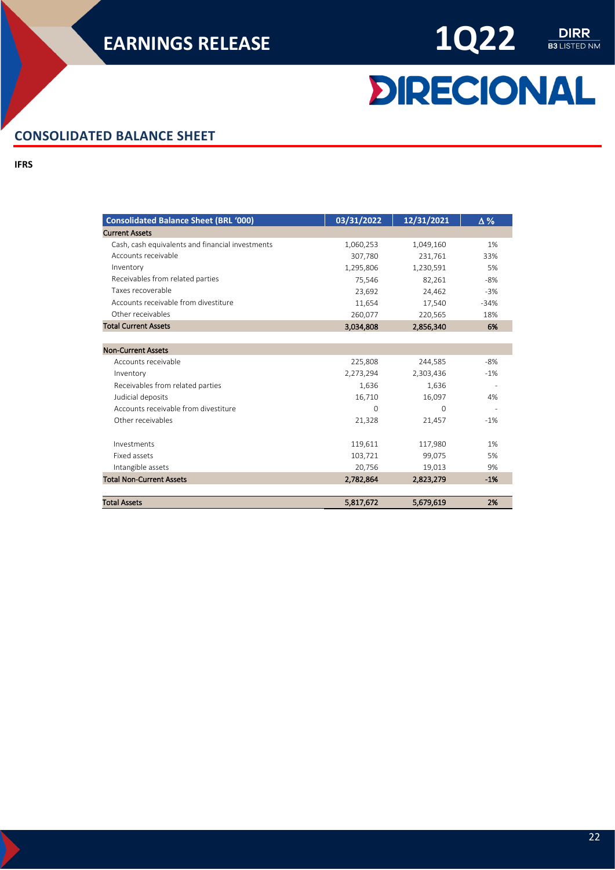

# **DIRECIONAL**

#### <span id="page-21-0"></span>**CONSOLIDATED BALANCE SHEET**

**IFRS**

| <b>Consolidated Balance Sheet (BRL '000)</b>     | 03/31/2022 | 12/31/2021 | $\Delta\%$ |
|--------------------------------------------------|------------|------------|------------|
| <b>Current Assets</b>                            |            |            |            |
| Cash, cash equivalents and financial investments | 1,060,253  | 1,049,160  | 1%         |
| Accounts receivable                              | 307,780    | 231,761    | 33%        |
| Inventory                                        | 1,295,806  | 1,230,591  | 5%         |
| Receivables from related parties                 | 75,546     | 82,261     | $-8%$      |
| Taxes recoverable                                | 23,692     | 24,462     | $-3%$      |
| Accounts receivable from divestiture             | 11,654     | 17,540     | $-34%$     |
| Other receivables                                | 260,077    | 220,565    | 18%        |
| <b>Total Current Assets</b>                      | 3,034,808  | 2,856,340  | 6%         |
| <b>Non-Current Assets</b>                        |            |            |            |
| Accounts receivable                              | 225,808    | 244,585    | $-8%$      |
| Inventory                                        | 2,273,294  | 2,303,436  | $-1%$      |
| Receivables from related parties                 | 1,636      | 1,636      |            |
| Judicial deposits                                | 16,710     | 16,097     | 4%         |
| Accounts receivable from divestiture             | $\Omega$   | $\Omega$   |            |
| Other receivables                                | 21,328     | 21,457     | $-1%$      |
| Investments                                      | 119,611    | 117,980    | 1%         |
| Fixed assets                                     | 103,721    | 99,075     | 5%         |
| Intangible assets                                | 20,756     | 19,013     | 9%         |
| <b>Total Non-Current Assets</b>                  | 2,782,864  | 2,823,279  | $-1%$      |
| <b>Total Assets</b>                              | 5,817,672  | 5,679,619  | 2%         |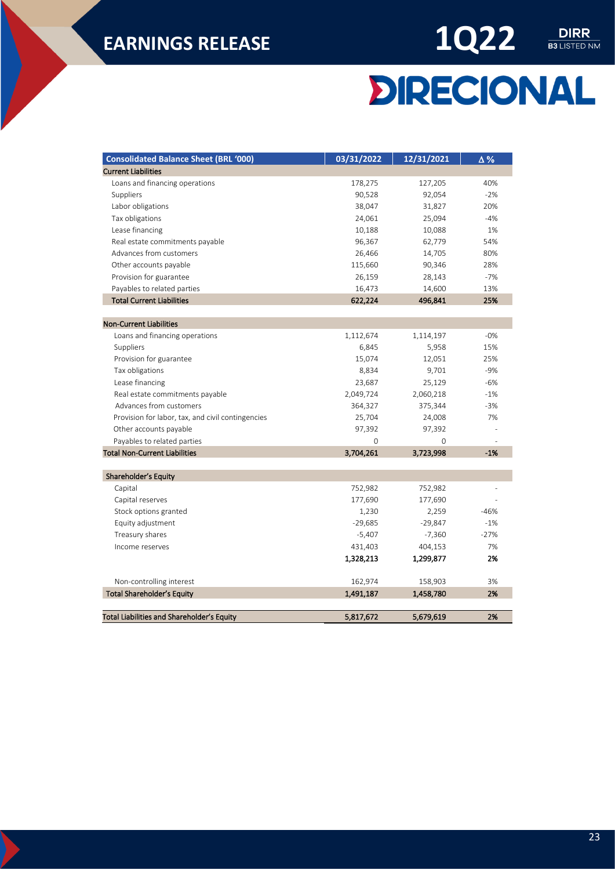

# **DIRECIONAL**

| <b>Consolidated Balance Sheet (BRL '000)</b>                     | 03/31/2022 | 12/31/2021  | $\Delta\,\%$ |
|------------------------------------------------------------------|------------|-------------|--------------|
| <b>Current Liabilities</b>                                       |            |             |              |
| Loans and financing operations                                   | 178,275    | 127,205     | 40%          |
| Suppliers                                                        | 90,528     | 92,054      | $-2%$        |
| Labor obligations                                                | 38,047     | 31,827      | 20%          |
| Tax obligations                                                  | 24,061     | 25,094      | $-4%$        |
| Lease financing                                                  | 10,188     | 10,088      | 1%           |
| Real estate commitments payable                                  | 96,367     | 62,779      | 54%          |
| Advances from customers                                          | 26,466     | 14,705      | 80%          |
| Other accounts payable                                           | 115,660    | 90,346      | 28%          |
| Provision for guarantee                                          | 26,159     | 28,143      | $-7%$        |
| Payables to related parties                                      | 16,473     | 14,600      | 13%          |
| <b>Total Current Liabilities</b>                                 | 622,224    | 496,841     | 25%          |
|                                                                  |            |             |              |
| <b>Non-Current Liabilities</b><br>Loans and financing operations | 1,112,674  | 1,114,197   | $-0%$        |
| Suppliers                                                        | 6,845      | 5,958       | 15%          |
| Provision for guarantee                                          | 15,074     | 12,051      | 25%          |
| Tax obligations                                                  | 8,834      | 9,701       | $-9%$        |
| Lease financing                                                  | 23,687     | 25,129      | $-6%$        |
| Real estate commitments payable                                  | 2,049,724  | 2,060,218   | $-1%$        |
| Advances from customers                                          | 364,327    | 375,344     | $-3%$        |
| Provision for labor, tax, and civil contingencies                | 25,704     | 24,008      | 7%           |
| Other accounts payable                                           | 97,392     | 97,392      |              |
| Payables to related parties                                      | 0          | $\mathbf 0$ |              |
| <b>Total Non-Current Liabilities</b>                             | 3,704,261  | 3,723,998   | $-1%$        |
|                                                                  |            |             |              |
| Shareholder's Equity                                             |            |             |              |
| Capital                                                          | 752,982    | 752,982     |              |
| Capital reserves                                                 | 177,690    | 177,690     |              |
| Stock options granted                                            | 1,230      | 2,259       | $-46%$       |
| Equity adjustment                                                | $-29,685$  | $-29,847$   | $-1%$        |
| Treasury shares                                                  | $-5,407$   | $-7,360$    | $-27%$       |
| Income reserves                                                  | 431,403    | 404,153     | 7%           |
|                                                                  | 1,328,213  | 1,299,877   | 2%           |
| Non-controlling interest                                         | 162,974    | 158,903     | 3%           |
| <b>Total Shareholder's Equity</b>                                | 1,491,187  | 1,458,780   | 2%           |
| Total Liabilities and Shareholder's Equity                       |            | 5,679,619   | 2%           |
|                                                                  | 5,817,672  |             |              |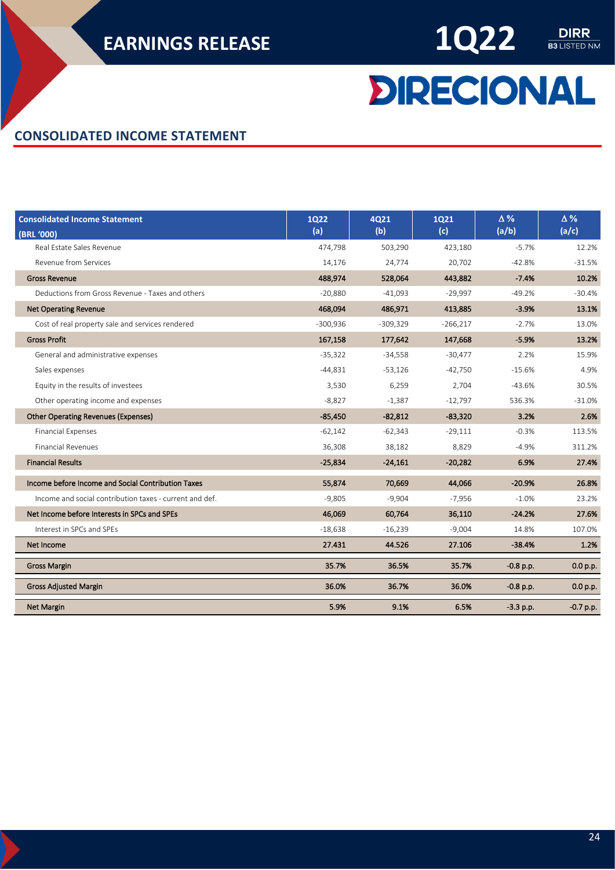$\begin{array}{c}\n\textbf{DIRR} \\
\hline\n\textbf{B3 LISTED NM}\n\end{array}$ 

# **DIRECIONAL**

#### <span id="page-23-0"></span>**CONSOLIDATED INCOME STATEMENT**

| <b>Consolidated Income Statement</b><br>(BRL '000)      | <b>1Q22</b><br>(a) | <b>4Q21</b><br>(b) | <b>1Q21</b><br>(c) | $\Delta\%$<br>(a/b) | $\Delta\%$<br>(a/c) |
|---------------------------------------------------------|--------------------|--------------------|--------------------|---------------------|---------------------|
| Real Estate Sales Revenue                               | 474,798            | 503,290            | 423,180            | $-5.7%$             | 12.2%               |
| Revenue from Services                                   | 14,176             | 24,774             | 20,702             | $-42.8%$            | $-31.5%$            |
| <b>Gross Revenue</b>                                    | 488,974            | 528,064            | 443,882            | $-7.4%$             | 10.2%               |
| Deductions from Gross Revenue - Taxes and others        | $-20,880$          | $-41,093$          | $-29,997$          | $-49.2%$            | $-30.4%$            |
| <b>Net Operating Revenue</b>                            | 468.094            | 486,971            | 413,885            | $-3.9%$             | 13.1%               |
| Cost of real property sale and services rendered        | $-300,936$         | $-309,329$         | $-266,217$         | $-2.7%$             | 13.0%               |
| <b>Gross Profit</b>                                     | 167,158            | 177,642            | 147,668            | $-5.9%$             | 13.2%               |
| General and administrative expenses                     | $-35,322$          | $-34,558$          | $-30,477$          | 2.2%                | 15.9%               |
| Sales expenses                                          | $-44,831$          | $-53,126$          | $-42,750$          | $-15.6%$            | 4.9%                |
| Equity in the results of investees                      | 3,530              | 6,259              | 2,704              | -43.6%              | 30.5%               |
| Other operating income and expenses                     | $-8,827$           | $-1,387$           | $-12,797$          | 536.3%              | $-31.0%$            |
| <b>Other Operating Revenues (Expenses)</b>              | $-85,450$          | $-82,812$          | $-83,320$          | 3.2%                | 2.6%                |
| <b>Financial Expenses</b>                               | $-62,142$          | $-62,343$          | $-29,111$          | $-0.3%$             | 113.5%              |
| <b>Financial Revenues</b>                               | 36,308             | 38,182             | 8,829              | $-4.9%$             | 311.2%              |
| <b>Financial Results</b>                                | $-25,834$          | $-24,161$          | $-20,282$          | 6.9%                | 27.4%               |
| Income before Income and Social Contribution Taxes      | 55,874             | 70,669             | 44,066             | $-20.9%$            | 26.8%               |
| Income and social contribution taxes - current and def. | $-9,805$           | $-9,904$           | $-7,956$           | $-1.0%$             | 23.2%               |
| Net Income before Interests in SPCs and SPEs            | 46,069             | 60,764             | 36,110             | $-24.2%$            | 27.6%               |
| Interest in SPCs and SPEs                               | $-18,638$          | $-16,239$          | $-9,004$           | 14.8%               | 107.0%              |
| Net Income                                              | 27.431             | 44.526             | 27.106             | $-38.4%$            | 1.2%                |
| <b>Gross Margin</b>                                     | 35.7%              | 36.5%              | 35.7%              | $-0.8$ p.p.         | 0.0 p.p.            |
| <b>Gross Adjusted Margin</b>                            | 36.0%              | 36.7%              | 36.0%              | $-0.8$ p.p.         | 0.0 p.p.            |
| <b>Net Margin</b>                                       | 5.9%               | 9.1%               | 6.5%               | $-3.3$ p.p.         | $-0.7$ p.p.         |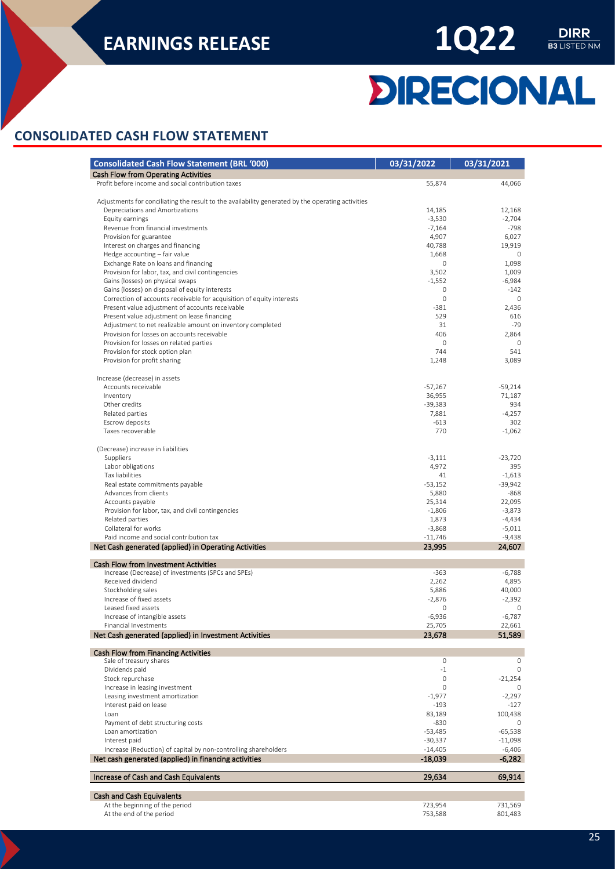

# **DIRECIONAL**

#### <span id="page-24-0"></span>**CONSOLIDATED CASH FLOW STATEMENT**

| <b>Consolidated Cash Flow Statement (BRL '000)</b>                                                | 03/31/2022      | 03/31/2021            |
|---------------------------------------------------------------------------------------------------|-----------------|-----------------------|
| Cash Flow from Operating Activities                                                               |                 |                       |
| Profit before income and social contribution taxes                                                | 55,874          | 44,066                |
|                                                                                                   |                 |                       |
| Adjustments for conciliating the result to the availability generated by the operating activities |                 |                       |
| Depreciations and Amortizations                                                                   | 14,185          | 12,168                |
| Equity earnings                                                                                   | $-3,530$        | $-2,704$              |
| Revenue from financial investments                                                                | $-7,164$        | $-798$                |
| Provision for guarantee<br>Interest on charges and financing                                      | 4,907<br>40,788 | 6,027<br>19,919       |
| Hedge accounting - fair value                                                                     | 1,668           | $\circ$               |
| Exchange Rate on loans and financing                                                              | 0               | 1,098                 |
| Provision for labor, tax, and civil contingencies                                                 | 3,502           | 1,009                 |
| Gains (losses) on physical swaps                                                                  | $-1,552$        | $-6,984$              |
| Gains (losses) on disposal of equity interests                                                    | 0               | $-142$                |
| Correction of accounts receivable for acquisition of equity interests                             | $\mathbf 0$     | $\mathbf 0$           |
| Present value adjustment of accounts receivable                                                   | $-381$          | 2,436                 |
| Present value adjustment on lease financing                                                       | 529             | 616                   |
| Adjustment to net realizable amount on inventory completed                                        | 31              | $-79$                 |
| Provision for losses on accounts receivable                                                       | 406             | 2,864                 |
| Provision for losses on related parties                                                           | 0               | $\mathbf 0$           |
| Provision for stock option plan                                                                   | 744             | 541                   |
| Provision for profit sharing                                                                      | 1,248           | 3,089                 |
| Increase (decrease) in assets                                                                     |                 |                       |
| Accounts receivable                                                                               | $-57,267$       | $-59,214$             |
| Inventory                                                                                         | 36,955          | 71,187                |
| Other credits                                                                                     | $-39,383$       | 934                   |
| Related parties                                                                                   | 7,881           | $-4,257$              |
| Escrow deposits                                                                                   | $-613$          | 302                   |
| Taxes recoverable                                                                                 | 770             | $-1,062$              |
|                                                                                                   |                 |                       |
| (Decrease) increase in liabilities                                                                |                 |                       |
| Suppliers                                                                                         | $-3,111$        | $-23,720$             |
| Labor obligations                                                                                 | 4,972           | 395                   |
| Tax liabilities<br>Real estate commitments payable                                                | 41<br>$-53,152$ | $-1,613$<br>$-39,942$ |
| Advances from clients                                                                             | 5,880           | $-868$                |
| Accounts payable                                                                                  | 25,314          | 22,095                |
| Provision for labor, tax, and civil contingencies                                                 | $-1,806$        | $-3,873$              |
| Related parties                                                                                   | 1,873           | $-4,434$              |
| Collateral for works                                                                              | $-3,868$        | $-5,011$              |
| Paid income and social contribution tax                                                           | $-11,746$       | $-9,438$              |
| Net Cash generated (applied) in Operating Activities                                              | 23,995          | 24,607                |
|                                                                                                   |                 |                       |
| <b>Cash Flow from Investment Activities</b><br>Increase (Decrease) of investments (SPCs and SPEs) | $-363$          | -6,788                |
| Received dividend                                                                                 | 2,262           | 4,895                 |
| Stockholding sales                                                                                | 5,886           | 40,000                |
| Increase of fixed assets                                                                          | $-2,876$        | $-2.392$              |
| Leased fixed assets                                                                               | 0               | $\circ$               |
| Increase of intangible assets                                                                     | $-6.936$        | $-6,787$              |
| Financial Investments                                                                             | 25,705          | 22,661                |
| Net Cash generated (applied) in Investment Activities                                             | 23,678          | 51,589                |
|                                                                                                   |                 |                       |
| <b>Cash Flow from Financing Activities</b><br>Sale of treasury shares                             | 0               | 0                     |
| Dividends paid                                                                                    | $-1$            | 0                     |
| Stock repurchase                                                                                  | 0               | $-21,254$             |
| Increase in leasing investment                                                                    | 0               | 0                     |
| Leasing investment amortization                                                                   | $-1,977$        | $-2,297$              |
| Interest paid on lease                                                                            | $-193$          | $-127$                |
| Loan                                                                                              | 83,189          | 100,438               |
| Payment of debt structuring costs                                                                 | $-830$          | $\circ$               |
| Loan amortization                                                                                 | $-53,485$       | $-65,538$             |
| Interest paid                                                                                     | $-30,337$       | $-11,098$             |
| Increase (Reduction) of capital by non-controlling shareholders                                   | $-14,405$       | $-6,406$              |
| Net cash generated (applied) in financing activities                                              | -18,039         | $-6,282$              |
|                                                                                                   |                 |                       |
| Increase of Cash and Cash Equivalents                                                             | 29,634          | 69,914                |
| <b>Cash and Cash Equivalents</b>                                                                  |                 |                       |
| At the beginning of the period                                                                    | 723,954         | 731,569               |
| At the end of the period                                                                          | 753,588         | 801,483               |

25